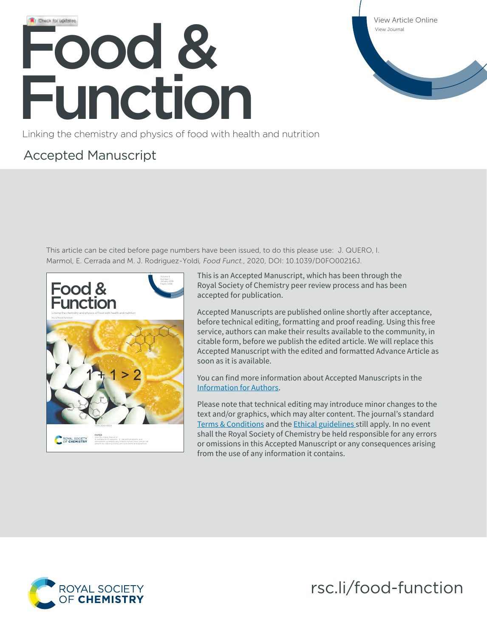

[View Article Online](https://doi.org/10.1039/d0fo00216j) [View Journal](https://pubs.rsc.org/en/journals/journal/FO)

Linking the chemistry and physics of food with health and nutrition

# Accepted Manuscript

This article can be cited before page numbers have been issued, to do this please use: J. QUERO, I. Marmol, E. Cerrada and M. J. Rodriguez-Yoldi*, Food Funct.*, 2020, DOI: 10.1039/D0FO00216J.



This is an Accepted Manuscript, which has been through the Royal Society of Chemistry peer review process and has been accepted for publication.

Accepted Manuscripts are published online shortly after acceptance, before technical editing, formatting and proof reading. Using this free service, authors can make their results available to the community, in citable form, before we publish the edited article. We will replace this Accepted Manuscript with the edited and formatted Advance Article as soon as it is available.

You can find more information about Accepted Manuscripts in the [Information for Authors.](http://www.rsc.org/Publishing/Journals/guidelines/AuthorGuidelines/JournalPolicy/accepted_manuscripts.asp)

Please note that technical editing may introduce minor changes to the text and/or graphics, which may alter content. The journal's standard [Terms & Conditions](http://www.rsc.org/help/termsconditions.asp) and the [Ethical guidelines](http://www.rsc.org/publishing/journals/guidelines/) still apply. In no event shall the Royal Society of Chemistry be held responsible for any errors or omissions in this Accepted Manuscript or any consequences arising from the use of any information it contains.



[rsc.li/food-function](http://rsc.li/food-function)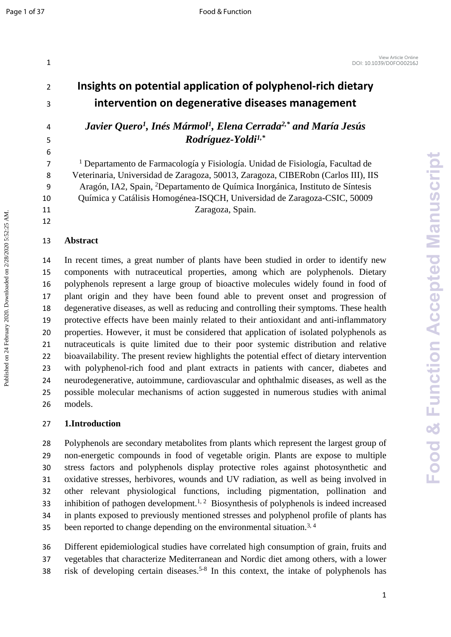# **Insights on potential application of polyphenol-rich dietary intervention on degenerative diseases management**

 *Javier Quero<sup>1</sup> , Inés Mármol<sup>1</sup> , Elena Cerrada2,\* and María Jesús Rodríguez-Yoldi1,\**

 Departamento de Farmacología y Fisiología. Unidad de Fisiología, Facultad de Veterinaria, Universidad de Zaragoza, 50013, Zaragoza, CIBERobn (Carlos III), IIS Aragón, IA2, Spain, <sup>2</sup>Departamento de Química Inorgánica, Instituto de Síntesis Química y Catálisis Homogénea-ISQCH, Universidad de Zaragoza-CSIC, 50009 Zaragoza, Spain.

#### **Abstract**

 In recent times, a great number of plants have been studied in order to identify new components with nutraceutical properties, among which are polyphenols. Dietary polyphenols represent a large group of bioactive molecules widely found in food of plant origin and they have been found able to prevent onset and progression of degenerative diseases, as well as reducing and controlling their symptoms. These health protective effects have been mainly related to their antioxidant and anti-inflammatory properties. However, it must be considered that application of isolated polyphenols as nutraceuticals is quite limited due to their poor systemic distribution and relative bioavailability. The present review highlights the potential effect of dietary intervention with polyphenol-rich food and plant extracts in patients with cancer, diabetes and neurodegenerative, autoimmune, cardiovascular and ophthalmic diseases, as well as the possible molecular mechanisms of action suggested in numerous studies with animal models. **Formular Consumeration Formular Consumeration**<br> **Formular Consumeration Burnov Accepted Manuscripts** *Functional Martin Jestis***<br>
<b>Formular Consumeration** *Function <b>Function Function <b>Accepted Function Co* 

#### **1.Introduction**

 Polyphenols are secondary metabolites from plants which represent the largest group of non-energetic compounds in food of vegetable origin. Plants are expose to multiple stress factors and polyphenols display protective roles against photosynthetic and oxidative stresses, herbivores, wounds and UV radiation, as well as being involved in other relevant physiological functions, including pigmentation, pollination and 33 inhibition of pathogen development.<sup>1, 2</sup> Biosynthesis of polyphenols is indeed increased in plants exposed to previously mentioned stresses and polyphenol profile of plants has 35 been reported to change depending on the environmental situation.<sup>3, 4</sup>

 Different epidemiological studies have correlated high consumption of grain, fruits and vegetables that characterize Mediterranean and Nordic diet among others, with a lower risk of developing certain diseases.<sup>5-8</sup> In this context, the intake of polyphenols has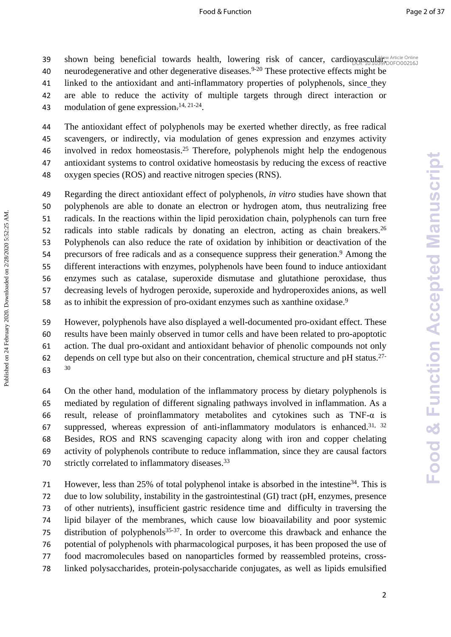39 shown being beneficial towards health, lowering risk of cancer, cardiovasculate Marticle Online 40 neurodegenerative and other degenerative diseases.<sup>9-20</sup> These protective effects might be linked to the antioxidant and anti-inflammatory properties of polyphenols, since they are able to reduce the activity of multiple targets through direct interaction or 43 modulation of gene expression.<sup>14, 21-24</sup>.

 The antioxidant effect of polyphenols may be exerted whether directly, as free radical scavengers, or indirectly, via modulation of genes expression and enzymes activity involved in redox homeostasis.<sup>25</sup> Therefore, polyphenols might help the endogenous antioxidant systems to control oxidative homeostasis by reducing the excess of reactive oxygen species (ROS) and reactive nitrogen species (RNS).

 Regarding the direct antioxidant effect of polyphenols, *in vitro* studies have shown that polyphenols are able to donate an electron or hydrogen atom, thus neutralizing free radicals. In the reactions within the lipid peroxidation chain, polyphenols can turn free 52 radicals into stable radicals by donating an electron, acting as chain breakers.<sup>26</sup> Polyphenols can also reduce the rate of oxidation by inhibition or deactivation of the 54 precursors of free radicals and as a consequence suppress their generation.<sup>9</sup> Among the different interactions with enzymes, polyphenols have been found to induce antioxidant enzymes such as catalase, superoxide dismutase and glutathione peroxidase, thus decreasing levels of hydrogen peroxide, superoxide and hydroperoxides anions, as well as to inhibit the expression of pro-oxidant enzymes such as xanthine oxidase.<sup>9</sup> **For**  $\theta$  **Fourier interaction twitted by the presentation consistent in the state of**  $\theta$  **and**  $\theta$  **and**  $\theta$  **and**  $\theta$  **and**  $\theta$  **and**  $\theta$  **and**  $\theta$  **and**  $\theta$  **and**  $\theta$  **and**  $\theta$  **and**  $\theta$  **and**  $\theta$  **and**  $\theta$  **and**  $\theta$  **and**  $\theta$  **and** 

 However, polyphenols have also displayed a well-documented pro-oxidant effect. These results have been mainly observed in tumor cells and have been related to pro-apoptotic action. The dual pro-oxidant and antioxidant behavior of phenolic compounds not only 62 depends on cell type but also on their concentration, chemical structure and  $pH$  status.<sup>27-</sup> <sup>30</sup>

 On the other hand, modulation of the inflammatory process by dietary polyphenols is mediated by regulation of different signaling pathways involved in inflammation. As a result, release of proinflammatory metabolites and cytokines such as TNF-α is suppressed, whereas expression of anti-inflammatory modulators is enhanced.31, 32 Besides, ROS and RNS scavenging capacity along with iron and copper chelating activity of polyphenols contribute to reduce inflammation, since they are causal factors strictly correlated to inflammatory diseases.<sup>33</sup>

71 However, less than 25% of total polyphenol intake is absorbed in the intestine<sup>34</sup>. This is due to low solubility, instability in the gastrointestinal (GI) tract (pH, enzymes, presence of other nutrients), insufficient gastric residence time and difficulty in traversing the lipid bilayer of the membranes, which cause low bioavailability and poor systemic 75 distribution of polyphenols<sup>35-37</sup>. In order to overcome this drawback and enhance the potential of polyphenols with pharmacological purposes, it has been proposed the use of food macromolecules based on nanoparticles formed by reassembled proteins, cross-linked polysaccharides, protein-polysaccharide conjugates, as well as lipids emulsified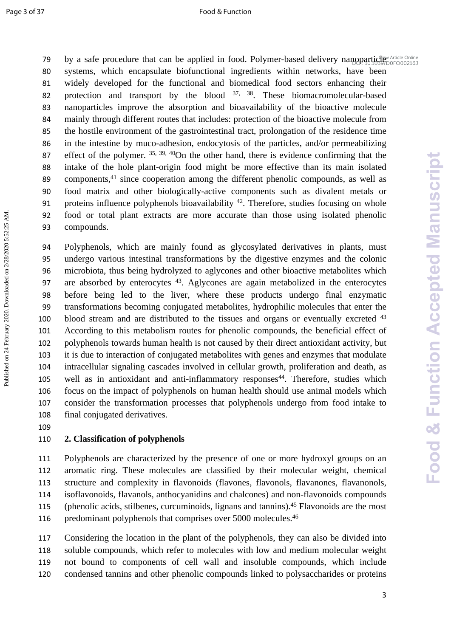#### Page 3 of 37 Food & Function

79 by a safe procedure that can be applied in food. Polymer-based delivery nanoparticle *Chline*  systems, which encapsulate biofunctional ingredients within networks, have been widely developed for the functional and biomedical food sectors enhancing their 82 protection and transport by the blood  $37, 38$ . These biomacromolecular-based nanoparticles improve the absorption and bioavailability of the bioactive molecule mainly through different routes that includes: protection of the bioactive molecule from the hostile environment of the gastrointestinal tract, prolongation of the residence time in the intestine by muco-adhesion, endocytosis of the particles, and/or permeabilizing 87 effect of the polymer.  $35, 39, 40$ On the other hand, there is evidence confirming that the intake of the hole plant-origin food might be more effective than its main isolated 89 components, <sup>41</sup> since cooperation among the different phenolic compounds, as well as food matrix and other biologically-active components such as divalent metals or 91 proteins influence polyphenols bioavailability <sup>42</sup>. Therefore, studies focusing on whole food or total plant extracts are more accurate than those using isolated phenolic compounds. **Fo Box and procedure that can be applied in food. Polyme-based dirivery mangepticalises and**  $\alpha$  **<b>Example 2020 EQuidipped** and between state and between state and  $\alpha$  procedure and  $\alpha$  **Example Condition** and betwe

 Polyphenols, which are mainly found as glycosylated derivatives in plants, must undergo various intestinal transformations by the digestive enzymes and the colonic microbiota, thus being hydrolyzed to aglycones and other bioactive metabolites which 97 are absorbed by enterocytes <sup>43</sup>. Aglycones are again metabolized in the enterocytes before being led to the liver, where these products undergo final enzymatic transformations becoming conjugated metabolites, hydrophilic molecules that enter the 100 blood stream and are distributed to the tissues and organs or eventually excreted <sup>43</sup> According to this metabolism routes for phenolic compounds, the beneficial effect of polyphenols towards human health is not caused by their direct antioxidant activity, but it is due to interaction of conjugated metabolites with genes and enzymes that modulate intracellular signaling cascades involved in cellular growth, proliferation and death, as 105 well as in antioxidant and anti-inflammatory responses<sup>44</sup>. Therefore, studies which focus on the impact of polyphenols on human health should use animal models which consider the transformation processes that polyphenols undergo from food intake to final conjugated derivatives.

## **2. Classification of polyphenols**

 Polyphenols are characterized by the presence of one or more hydroxyl groups on an aromatic ring. These molecules are classified by their molecular weight, chemical structure and complexity in flavonoids (flavones, flavonols, flavanones, flavanonols, isoflavonoids, flavanols, anthocyanidins and chalcones) and non-flavonoids compounds (phenolic acids, stilbenes, curcuminoids, lignans and tannins).<sup>45</sup> Flavonoids are the most 116 predominant polyphenols that comprises over 5000 molecules.<sup>46</sup>

 Considering the location in the plant of the polyphenols, they can also be divided into soluble compounds, which refer to molecules with low and medium molecular weight not bound to components of cell wall and insoluble compounds, which include condensed tannins and other phenolic compounds linked to polysaccharides or proteins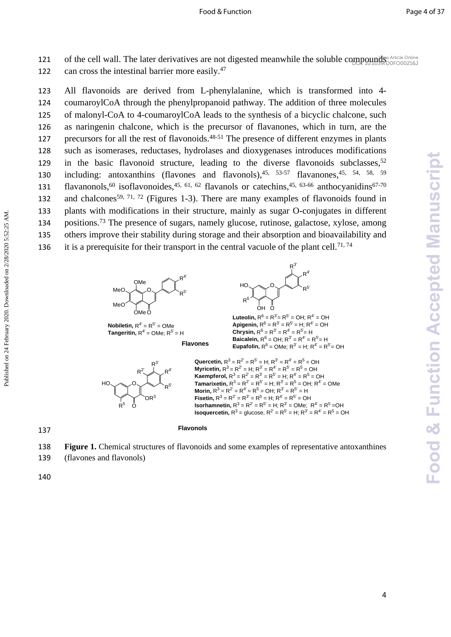121 of the cell wall. The later derivatives are not digested meanwhile the soluble compounds Article Online 122 can cross the intestinal barrier more easily.<sup>47</sup>

123 All flavonoids are derived from L-phenylalanine, which is transformed into 4- 124 coumaroylCoA through the phenylpropanoid pathway. The addition of three molecules 125 of malonyl-CoA to 4-coumaroylCoA leads to the synthesis of a bicyclic chalcone, such 126 as naringenin chalcone, which is the precursor of flavanones, which in turn, are the 127 precursors for all the rest of flavonoids.<sup>48-51</sup> The presence of different enzymes in plants 128 such as isomerases, reductases, hydrolases and dioxygenases introduces modifications 129 in the basic flavonoid structure, leading to the diverse flavonoids subclasses,<sup>52</sup> 130 including: antoxanthins (flavones and flavonols), <sup>45, 53-57</sup> flavanones, <sup>45, 54, 58, 59</sup> 131 flavanonols,<sup>60</sup> isoflavonoides,<sup>45, 61, 62</sup> flavanols or catechins,  $45, 63-66$  anthocyanidins<sup>67-70</sup> 132 and chalcones<sup>59, 71, 72</sup> (Figures 1-3). There are many examples of flavonoids found in 133 plants with modifications in their structure, mainly as sugar O-conjugates in different 134 positions.<sup>73</sup> The presence of sugars, namely glucose, rutinose, galactose, xylose, among 135 others improve their stability during storage and their absorption and bioavailability and 136 it is a prerequisite for their transport in the central vacuole of the plant cell.<sup>71, 74</sup> For the collective state of the published on 24 February 2020. All the control of the published on 24 February 2020<br> **For the computer Published Solution** Control of the control of the control of the control of the contro



137

138 **Figure 1.** Chemical structures of flavonoids and some examples of representative antoxanthines 139 (flavones and flavonols)

**Flavonols**

140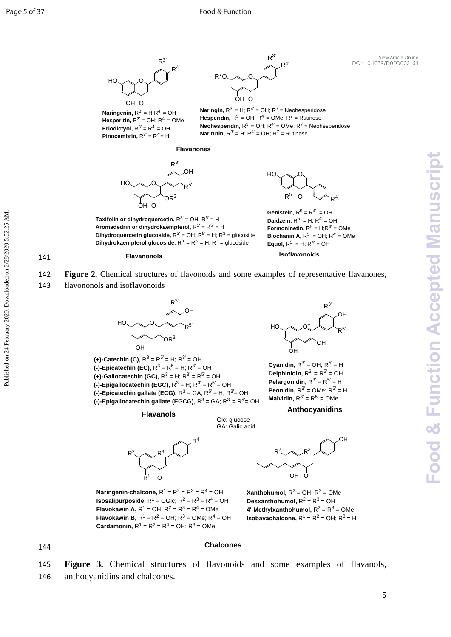



**Naringenin,**  $R^{3'} = H$ ;  $R^{4'} = OH$ **Hesperitin,**  $R^{3'}$  = OH;  $R^{4'}$  = OMe **Eriodictyol,**  $R^3 = R^4 = OH$  $\begin{array}{c} \bigcap \\ O \\ \n\end{array}$ <br>  $\begin{array}{c} 3' = H; R^4 = OH \\ \n\end{array}$  Ma<br>  $\begin{array}{c} 3' = H; R^4 = OH \\ \n\end{array}$  Me<br>  $R^3 = R^4 = H$  Ma **Pinocembrin,**  $R^3 = R^4 = H$  $= H; R^4 = OH$ <br>  $= OH; R^4 = OM$ <br>  $= R^4 = OH$ <br>  $= R^4 = H$ <br>  $= R^4 = H$ 

**Naringin,**  $R^{3'} = H$ ;  $R^{4'} = OH$ ;  $R^{7} =$  Neohesperidose  $R'O$ <br>  $OH$  O<br> **Naringin,**  $R^3' = H$ ;  $R^4' = OH$ ;  $R^7 = \text{Neohesperiidose}$ <br> **Hesperidin,**  $R^3 = OH$ ;  $R^4' = OMe$ ;  $R^7 = \text{Neohesperiodose}$ <br> **Neohesperidin,**  $R^3' = OH$ ;  $R^4' = OMe$ ;  $R^7 = \text{Neohesperiodose}$  $\overrightarrow{R}^4$  = OH;  $\overrightarrow{R}^7$  = Neohesperidose<br>OH;  $\overrightarrow{R}^4$  = OMe;  $\overrightarrow{R}^7$  = Rutinose<br> $\overrightarrow{3}$  = OH;  $\overrightarrow{R}^4$  = OMe;  $\overrightarrow{R}^7$  = Neohesperidose<br> $\overrightarrow{R}^4$  = OH;  $\overrightarrow{R}^7$  = Rutinose **Narirutin,**  $R^3 = H$ ;  $R^4 = OH$ ;  $R^7 = R$ utinose  $\begin{array}{ll}\n\bigcap_{1}^{3} & \text{if } \\
\bigcap_{1}^{3} & \text{if } \\
\bigcap_{1}^{3} & \text{if } \\
\bigcap_{1}^{3} & \text{if } \\
\bigcap_{1}^{3} & \text{if } \\
\bigcap_{1}^{3} & \text{if } \\
\bigcap_{1}^{3} & \text{if } \\
\bigcap_{1}^{3} & \text{if } \\
\bigcap_{1}^{3} & \text{if } \\
\bigcap_{1}^{3} & \text{if } \\
\bigcap_{1}^{3} & \text{if } \\
\bigcap_{1}^{3} & \text{if } \\
\bigcap_{1}^{3} & \text{if } \\
\bigcap_{$ 

#### **Flavanones**



**Taxifolin or dihydroquercetin,**  $R^{3'} = OH$ ;  $R^{5'} = H$ <br>**Aromadedrin or dihydrokaempferol,**  $R^{3'} = R^{5'} = H$ 



 $HO_{\text{max}}$ , O

 $O_{\diagdown}$ 

4'

 $R^4$  and  $R^4$  and  $R^4$  and  $R^4$  and  $R^4$  and  $R^4$  and  $R^4$  and  $R^4$  and  $R^4$  and  $R^4$  and  $R^4$  and  $R^4$  and  $R^4$  and  $R^4$  and  $R^4$  and  $R^4$  and  $R^4$  and  $R^4$  and  $R^4$  and  $R^4$  and  $R^4$  and  $R^4$  and 4'

 $R^3 = OH; R^5 = H$ <br> **Daidze**<br> **Sierol,**  $R^3 = R^5 = H$ <br> **Sierol,**  $R^3 = H; R^3 =$  glucoside<br>  $R^3 = R^5 = H; R^3 =$  glucoside<br> **Equol**  $3^{3} = OH; R^{5'} = H$ <br> **Dai**<br> **Prol,**  $R^{3'} = R^{5'} = H$ **<br>**  $= OH; R^{5'} = H; R^{3} =$  **glucoside<br>**  $3^{3} = R^{5'} = H; R^{3} =$  **glucoside<br>
<b>Equ Daidzein.**  $R^5 = H$ :  $R^4 = OH$ **Formoninetin,**  $R^5 = H$ ;  $R^4$  = OMe  $R^{4'}$ <br>  $R^{4'}$  = OH<br>  $\frac{1}{2}$ ;  $R^{4'}$  = OH<br>  $\frac{5}{2}$  = H; $R^{4'}$  = OMe<br>
= OH;  $R^{4'}$  = OMe **B**<sup>5</sup> **B**<br> **Biochanin A**,  $R^5 = R^4 = OH$ <br> **Biochanin A**,  $R^5 = H$ ;  $R^4 = OH$ <br> **Biochanin A**,  $R^5 = OH$ ;  $R^4 = OH$ <br> **Equol**,  $R^5 = H$ ;  $R^4 = OH$  $R^{4'} = OH$ <br>  $R^{4'} = OH$ <br>  $R^5 = H; R^{4'} = OMe$ <br>  $5 = OH; R^{4'} = OMe$ <br>  $R^{4'} = OH$ **Equol,**  $R^5 = H$ ;  $R^4 = OH$ **n**,  $R^5 = R^4$  = OH<br>
1,  $R^5 = H$ ;  $R^4$  = OH<br> **netin**,  $R^5 = H$ ;  $R^4$  = OMe<br> **in A**,  $R^5$  = OH;  $R^4$  = OMe<br>  $^5 = H$ ;  $R^4$  = OH<br> **ilayonoids** 

**Isoflavonoids**

#### 141 **Flavanonols**

142 **Figure 2.** Chemical structures of flavonoids and some examples of representative flavanones, 143 flavononols and isoflavonoids **Food**<br> **Food Function Accepted Accepted Manuscript Published on 24 February 2020**<br> **Exception 2020**<br> **Exception 2020**<br> **Exception 2020**<br> **Exception 2020**<br> **Exception 2020**<br> **Exception 2020**<br> **Exception 2020**<br> **Ex** 



**(+)-Gallocatechin (GC),**  $R^3 = H$ ;  $R^{3'} = R^{5'} = OH$  $R^5$  = H; R<sup>3'</sup> = OH<br>  $R^5$  = H; R<sup>3'</sup> = OH<br>  $3 = R^5$  = H; R<sup>3'</sup> = OH<br>
, R<sup>3</sup> = H; R<sup>3'</sup> = R<sup>5'</sup> = OH **(+)-Catechin (C),**  $R^3 = R^5 = H$ ;  $R^3 = OH$ <br> **(-)-Epicatechin (EC)**,  $R^3 = R^5 = H$ ;  $R^3 = OH$ <br> **(+)-Gallocatechin (GC)**,  $R^3 = H$ ;  $R^3' = R^5' = OH$ <br> **(-)-Epigallocatechin (EGC)**,  $R^3 = H$ ;  $R^3' = R^5' = OH$ (**+)-Catechin (C)**,  $R^3 = R^5 = H$ ;  $R^3 = OH$ <br> **(-)-Epicatechin (EC)**,  $R^3 = R^5 = H$ ;  $R^3' = OH$ <br> **(+)-Gallocatechin (GC)**,  $R^3 = H$ ;  $R^3' = R^5 = ($ <br> **(-)-Epigallocatechin (EGC)**,  $R^3 = H$ ;  $R^3' = R$ <br> **(-)-Epicatechin gallate (ECG)**, (-)-Epicatechin gallate (ECG),  $R^3$  = GA;  $R^{5'}$  = H;  $R^{3'}$  = OH **(+)-Catechin (C),**  $R^3 = R^5 = H$ ;  $R^3 = OH$ <br> **(-)-Epicatechin (EC),**  $R^3 = R^5 = H$ ;  $R^3' = OH$ <br> **(-)-Epigallocatechin (GC),**  $R^3 = H$ ;  $R^3' = R^5 = OH$ <br> **(-)-Epicatechin gallate (EGG),**  $R^3 = GA$ ;  $R^5 = H$ ;  $R^3 = OH$ <br> **Peonicy-Epicatechin (+)-Catechin (C),**  $R^3 = R^5 = H$ ;  $R^3 = OH$ <br> **(-)-Epicatechin (EC)**,  $R^3 = R^5 = H$ ;  $R^3' = OH$ <br> **(-)-Epigallocatechin (EGC)**,  $R^3 = H$ ;  $R^3' = R^5 = OH$ <br> **(-)-Epigallocatechin gallate (ECG)**,  $R^3 = GA$ ;  $R^5 = H$ ;  $R^3 =$ <br> **(-)-Epigalloca** Cyanidin,<br>  ${}^{5'}$  = OH<br>
= R<sup>5'</sup> = OH<br>
; R<sup>5'</sup> = H; R<sup>3'</sup> = OH<br>  ${}^{3}$  = GA; R<sup>3'</sup> = R<sup>5'</sup> = OH<br> **Malvidin,**<br> **Ar**  $H_1 = 0H$ <br>  $H_2 + H_3 = 0H$ <br>  $H_3 + H_4 = 0$ <br>  $H_4 = 0$ <br>  $H_5 = 0$ <br>  $H_5 = 0$ <br>
Glc: glucose<br>
GA: Galic acid = OH<br>  $A$ :  $R^3$  = OH **Peon**<br>  $A$ :  $R^3$  =  $R^5$  = OH **Malvi**<br>
Glc: glucose<br>
GA: Galic acid



**Cyanidin,**  $R^3$  = OH;  $R^5$  = **Delphinidin,**  $R^{3'} = R^{5'} = OH$ **Pelargonidin,**  $R^{3'} = R^{5'} = H$ OH<br>
OH;  $R^5' = H$ <br>  $= R^5' = OH$ <br>  $3' = R^5' = H$ <br>
OMe;  $R^5' = H$ **Peonidin,**  $R^{3'}$  = OMe;  $R^{5'}$  = H  $3' = OH$ ;  $R^5' = H$ <br>
,  $R^3' = R^5' = OH$ <br> **n**,  $R^3' = R^5' = H$ <br>  $3' = OMe$ ;  $R^5' = H$ <br>  $3' = R^5' = OMe$ **Malvidin,**  $R^{3'} = R^{5'} = OMe$  $R^{3'} = OH$ ;  $R^{5'} = H$ <br> **i**,  $R^{3'} = R^{5'} = OH$ <br> **in**,  $R^{3'} = R^{5'} = H$ <br>  $R^{3'} = OMe$ ;  $R^{5'} = H$ <br>  $3' = R^{5'} = OMe$ <br> **hocvanidins** 

**Anthocyanidins**



**Flavanols**



**Naringenin-chalcone,**  $R^1 = R^2 = R^3 = R^4 = OH$ **1**<br> **1** = OGIc;  $R^2 = R^3 = R^4 = OH$ <br> **1** = OGIc;  $R^2 = R^3 = R^4 = OH$ <br> **Desxa**<br>
OH;  $R^2 = R^3 = R^4 = OMe$ <br> **4'-Met Figure 1**<br> **Figure 1**<br> **Flavokawin A, R<sup>1</sup> = OGIc; R<sup>2</sup> = R<sup>3</sup> = R<sup>4</sup> = OH<br>
<b>Flavokawin A, R<sup>1</sup> = OH; R<sup>2</sup> = R<sup>3</sup> = R<sup>4</sup> = OMe<br>
<b>Flavokawin B, R<sup>1</sup> = R<sup>2</sup> = OH; R<sup>3</sup> = OMe; R<sup>4</sup> = OH Fall of the CH of the CH of the CH of the CH of the CH of the Bosali<br>
<b>Flavokawin A, R**<sup>1</sup> = OH; R<sup>2</sup> = R<sup>3</sup> = R<sup>4</sup> = OH **Desxar**<br> **Flavokawin A, R**<sup>1</sup> = OH; R<sup>2</sup> = R<sup>3</sup> = R<sup>4</sup> = OMe **4'-Meth**<br> **Flavokawin B, R**<sup>1</sup> = R<sup>2</sup> **Cardamonin,**  $R^1 = R^2 = R^4 = OH$ ;  $R^3 = OMe$ **11:**  $R^1 = R^2 = R^3 = R^4 = OH$ <br> **12:**  $R^1 = OGL$ ;  $R^2 = R^3 = R^4 = OH$ <br>  $R^1 = OH$ ;  $R^2 = R^3 = R^4 = OM$ <br>  $R^1 = R^2 = OH$ ;  $R^3 = OMe$ ;  $R^4 = OH$ <br>  $R^4 = QH$ ;  $R^3 = OMe$ 

**Xanthohumol,**  $R^2 = OH$ ;  $R^3 = OMe$ **Desxanthohumol,**  $R^2 = R^3 = OH$ **2**<br> **2 Xanthohumol,**  $R^2 = OH$ ;  $R^3 = OM$ <br> **Desxanthohumol,**  $R^2 = R^3 = OH$ <br> **4'-Methylxanthohumol,**  $R^2 = R^3 = OM$ e  $R^3 = OMe$ <br>  $2 = R^3 = OMe$ <br>  $2 = OH; R^3 = H$ **Isobavachalcone,**  $R^1 = R^2 = OH$ ;  $R^3 = H$ 0H;  $R^3$  = OMe<br>
<sup>2</sup> = R<sup>3</sup> = OH<br> **nol**,  $R^2$  = R<sup>3</sup> = OMe<br>
<sup>1</sup> = R<sup>2</sup> = OH; R<sup>3</sup> = H

#### **Chalcones**

145 **Figure 3.** Chemical structures of flavonoids and some examples of flavanols, 146 anthocyanidins and chalcones.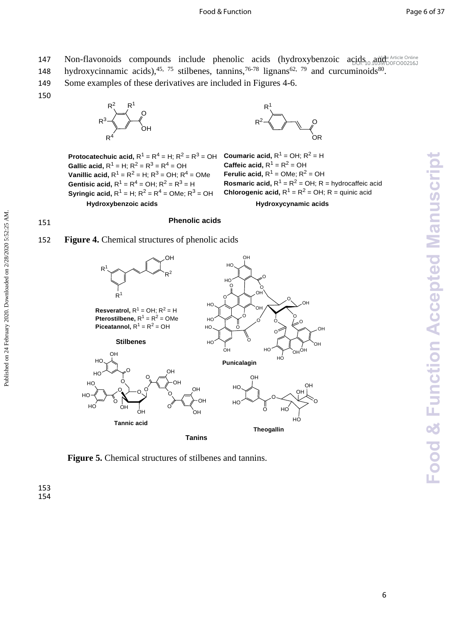

151



 $R^3$ <br>  $R^4$ <br> **Protocatechuic acid,**  $R^1 = R^4 = H$ ;  $R^2 = R^3 = OH$ <br> **Coumaries**<br> **Protocatechuic acid,**  $R^1 = H$ ;  $R^2 = R^3 = R^4 = OH$ <br> **Caffeic a Gallic acid, R<sup>4</sup><br>
Frotocatechuic acid, R<sup>1</sup><br>
Gallic acid, R<sup>1</sup> = H; R<sup>2</sup> = Manillic acid, R<sup>1</sup> = R<sup>2</sup> = H** <sup>1</sup> = H; R<sup>2</sup> = R<sup>3</sup> = R<sup>4</sup> = OH  $R^4$ <br>**Protocatechuic acid,**  $R^1$  =<br>Gallic acid,  $R^1$  = H;  $R^2$  = R<sup>;</sup><br>Vanillic acid,  $R^1$  =  $R^2$  = H;<br>Gentisic acid,  $R^1$  =  $R^4$  = Ol 2 **acid,**  $R^1 = R^4 = H$ ;  $R^2 = R^3 = OH$ <br>  $= H$ ;  $R^2 = R^3 = R^4 = OH$ <br>  $= R^2 = H$ ;  $R^3 = OH$ ;  $R^4 = OMe$ <br> **Feru**<br>  $R^1 = R^4 = OH$ ;  $R^2 = R^3 = H$ <br>
Rosi **Protocatechuic acid,**  $R^1 = F$ <br> **Gallic acid,**  $R^1 = H$ ;  $R^2 = R^3$ <br> **Vanillic acid,**  $R^1 = R^2 = H$ ; R<br> **Gentisic acid,**  $R^1 = R^4 = OH$ <br> **Syringic acid,**  $R^1 = H$ ;  $R^2 = H$ **acid,**  $R^1 = R^4 = H$ ;  $R^2 = R^3 = OH$ <br>  $R^1 = R^2 = H$ ;  $R^3 = OH$ ;  $R^4 = OM$ <br>  $R^2 = H$ ;  $R^3 = OH$ ;  $R^4 = OM$ <br>  $R^4 = H$ ;  $R^2 = R^3 = H$ <br> **Re**  $R^1 = H$ ;  $R^2 = R^4 = OM$ e;  $R^3 = OH$ Protocatechuic acid, R<sup>1</sup> = F<br>Gallic acid, R<sup>1</sup> = H; R<sup>2</sup> = R<sup>3</sup><br>Vanillic acid, R<sup>1</sup> = R<sup>2</sup> = H; R<br>Gentisic acid, R<sup>1</sup> = R<sup>4</sup> = OH<br>Syringic acid, R<sup>1</sup> = H; R<sup>2</sup> =<br>Hydroxybenzoic acid acid,  $R^1 = R^4 = H$ ;  $R^2 = R^3 = OH$  Couman<br>  $H$ ;  $R^2 = R^3 = R^4 = OH$  Caffeic<br>  $= R^2 = H$ ;  $R^3 = OH$ ;  $R^4 = OMe$  Ferulic<br>  $R^1 = R^4 = OH$ ;  $R^2 = R^3 = H$  Rosman<br>  $R^1 = H$ ;  $R^2 = R^4 = OMe$ ;  $R^3 = OH$  Chlorog<br>
Rosman<br>
Rosman<br>
Rosman<br>
Rosman<br>
Rosman<br>
Ro DH; R<sup>4</sup> = OMe Ferulic a<br>
= R<sup>3</sup> = H Rosmarie<br>OMe; R<sup>3</sup> = OH Chloroge<br>**Phenolic acids acid,**  $R^1 = H$ ;  $R^2 = R^3 = R^4 = OH$ ; **R**<br> **ic acid,**  $R^1 = R^2 = H$ ;  $R^3 = OH$ ; **R**<br> **sic acid,**  $R^1 = R^4 = OH$ ;  $R^2 = R^3$ ;<br> **gic acid,**  $R^1 = H$ ;  $R^2 = R^4 = OMe$ ;<br> **Hydroxybenzoic acids** 



**id,**  $R^1 = R^2 = OH$ <br> **id,**  $R^1 = OMe$ ;  $R^2 = OH$ <br> **acid,**  $R^1 = R^2 = OH$ ;  $R = \text{hydroca}$ <br> **iic acid,**  $R^1 = R^2 = OH$ ;  $R = \text{quinic}$ <br> **Hydroxycynamic acids**  $\bigvee_{\mathsf{OR}}$ <br>  $\bigvee_{\mathsf{OR}}$ <br>  $\bigvee_{\mathsf{IR}^2 = \mathsf{OH}}$ <br>  $\bigvee_{\mathsf{IR}^2 = \mathsf{OH}}$ **Coumaric acid,**  $R^1 = OH$ ;  $R^2 = H$ <br> **Caffeic acid,**  $R^1 = R^2 = OH$ <br> **Ferulic acid,**  $R^1 = OMe$ ;  $R^2 = OH$ **Coumaric acid,**  $R^1 = OH$ ; **F**<br>**Caffeic acid,**  $R^1 = R^2 = OH$ <br>**Ferulic acid,**  $R^1 = OMe$ ;  $R^2$ <br>**Rosmaric acid,**  $R^1 = R^2 = P$ OR<br>  $1, R^1 = OH$ ;  $R^2 = H$ <br>  $1 = R^2 = OH$ <br>  $1 = OMe$ ;  $R^2 = OH$ <br>  $R^1 = R^2 = OH$ ;  $R = \text{hydrocaff}$ **Coumaric acid,**  $R^1 = OH$ ;  $R^2$ ;<br> **Caffeic acid,**  $R^1 = R^2 = OH$ <br> **Ferulic acid,**  $R^1 = OMe$ ;  $R^2 =$ <br> **Rosmaric acid,**  $R^1 = R^2 = OH$ <br> **Chlorogenic acid,**  $R^1 = R^2 =$ <sup>1</sup> = OH; R<sup>2</sup> = H<br>
<sup>2</sup> = OH<br>
CMe; R<sup>2</sup> = OH<br>
<sup>1</sup> = R<sup>2</sup> = OH; R = hydrocaffeic acid<br>
, R<sup>1</sup> = R<sup>2</sup> = OH; R = quinic acid **Coumaric acid,**  $R^1 = OH$ ;  $R^2 = H$ <br> **Caffeic acid,**  $R^1 = R^2 = OH$ <br> **Ferulic acid,**  $R^1 = OMe$ ;  $R^2 = OH$ ; Rosmaric acid,  $R^1 = R^2 = OH$ ; R<br> **Chlorogenic acid,**  $R^1 = R^2 = OH$ ; Hydroxy even amic acid : OH; R<sup>2</sup> = H<br>
<sup>2</sup> = OH<br>
Me; R<sup>2</sup> = OH<br>
: R<sup>2</sup> = OH; R = hydrocaffeic acid<br>
<sup>1</sup> = R<sup>2</sup> = OH; R = quinic acid<br> **vnamic acids** 





**Figure 5.** Chemical structures of stilbenes and tannins.

153 154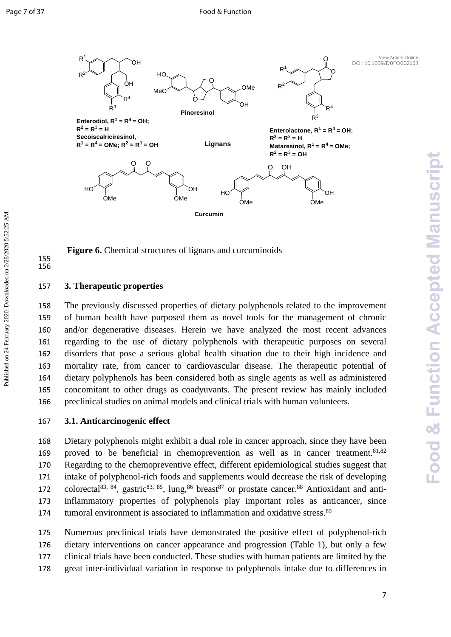

**Figure 6.** Chemical structures of lignans and curcuminoids

#### 157 **3. Therapeutic properties**

 The previously discussed properties of dietary polyphenols related to the improvement of human health have purposed them as novel tools for the management of chronic and/or degenerative diseases. Herein we have analyzed the most recent advances regarding to the use of dietary polyphenols with therapeutic purposes on several disorders that pose a serious global health situation due to their high incidence and mortality rate, from cancer to cardiovascular disease. The therapeutic potential of dietary polyphenols has been considered both as single agents as well as administered concomitant to other drugs as coadyuvants. The present review has mainly included preclinical studies on animal models and clinical trials with human volunteers.

#### 167 **3.1. Anticarcinogenic effect**

 Dietary polyphenols might exhibit a dual role in cancer approach, since they have been proved to be beneficial in chemoprevention as well as in cancer treatment.81,82 Regarding to the chemopreventive effect, different epidemiological studies suggest that intake of polyphenol-rich foods and supplements would decrease the risk of developing 172 colorectal<sup>83, 84</sup>, gastric<sup>83, 85</sup>, lung, <sup>86</sup> breast<sup>87</sup> or prostate cancer.<sup>88</sup> Antioxidant and anti- inflammatory properties of polyphenols play important roles as anticancer, since 174 tumoral environment is associated to inflammation and oxidative stress.<sup>89</sup>

 Numerous preclinical trials have demonstrated the positive effect of polyphenol-rich dietary interventions on cancer appearance and progression (Table 1), but only a few clinical trials have been conducted. These studies with human patients are limited by the great inter-individual variation in response to polyphenols intake due to differences in

155

156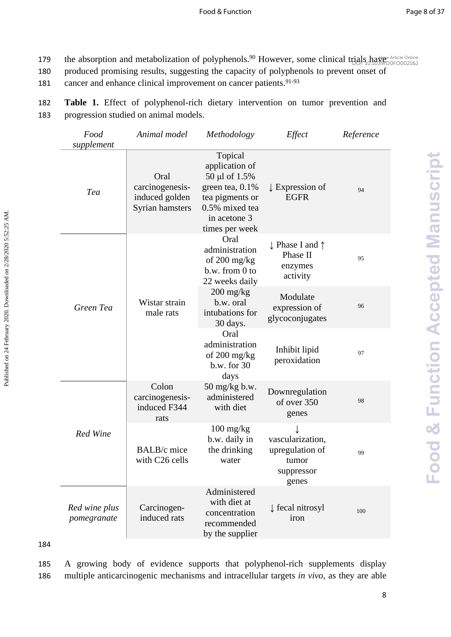- 179 the absorption and metabolization of polyphenols.<sup>90</sup> However, some clinical trials have *Article Online*
- 180 produced promising results, suggesting the capacity of polyphenols to prevent onset of

| 182<br>183 |                              | Table 1. Effect of polyphenol-rich dietary intervention on tumor prevention and<br>progression studied on animal models. |                                                                                                                                      |                                                                        |           |
|------------|------------------------------|--------------------------------------------------------------------------------------------------------------------------|--------------------------------------------------------------------------------------------------------------------------------------|------------------------------------------------------------------------|-----------|
|            | Food<br>supplement           | Animal model                                                                                                             | Methodology                                                                                                                          | Effect                                                                 | Reference |
|            | Tea                          | Oral<br>carcinogenesis-<br>induced golden<br>Syrian hamsters                                                             | Topical<br>application of<br>50 µl of 1.5%<br>green tea, 0.1%<br>tea pigments or<br>0.5% mixed tea<br>in acetone 3<br>times per week | $\downarrow$ Expression of<br><b>EGFR</b>                              | 94        |
|            | Green Tea                    | Wistar strain<br>male rats                                                                                               | Oral<br>administration<br>of $200 \frac{\text{mg}}{\text{kg}}$<br>b.w. from 0 to<br>22 weeks daily                                   | $\downarrow$ Phase I and $\uparrow$<br>Phase II<br>enzymes<br>activity | 95        |
|            |                              |                                                                                                                          | $200$ mg/kg<br>b.w. oral<br>intubations for<br>30 days.                                                                              | Modulate<br>expression of<br>glycoconjugates                           | 96        |
|            |                              |                                                                                                                          | Oral<br>administration<br>of $200$ mg/kg<br>$b.w.$ for $30$<br>days                                                                  | Inhibit lipid<br>peroxidation                                          | 97        |
|            |                              | Colon<br>carcinogenesis-<br>induced F344<br>rats                                                                         | 50 mg/kg b.w.<br>administered<br>with diet                                                                                           | Downregulation<br>of over 350<br>genes                                 | 98        |
|            | Red Wine                     | BALB/c mice<br>with C26 cells                                                                                            | $100 \frac{\text{mg}}{\text{kg}}$<br>b.w. daily in<br>the drinking<br>water                                                          | vascularization,<br>upregulation of<br>tumor<br>suppressor<br>genes    | 99        |
|            | Red wine plus<br>pomegranate | Carcinogen-<br>induced rats                                                                                              | Administered<br>with diet at<br>concentration<br>recommended<br>by the supplier                                                      | $\downarrow$ fecal nitrosyl<br>iron                                    | 100       |

184

185 A growing body of evidence supports that polyphenol-rich supplements display 186 multiple anticarcinogenic mechanisms and intracellular targets *in vivo*, as they are able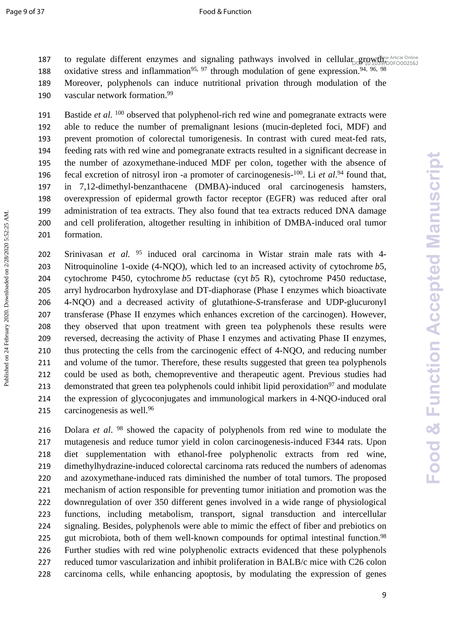#### Page 9 of 37 Food & Function

187 to regulate different enzymes and signaling pathways involved in cellular  $gr_0wt_{\text{F}}^{\text{true}}$  Article Online 188 oxidative stress and inflammation<sup>95, 97</sup> through modulation of gene expression.<sup>94, 96, 98</sup>

 Moreover, polyphenols can induce nutritional privation through modulation of the vascular network formation.<sup>99</sup>

 Bastide *et al.* <sup>100</sup> observed that polyphenol-rich red wine and pomegranate extracts were able to reduce the number of premalignant lesions (mucin-depleted foci, MDF) and prevent promotion of colorectal tumorigenesis. In contrast with cured meat-fed rats, feeding rats with red wine and pomegranate extracts resulted in a significant decrease in the number of azoxymethane-induced MDF per colon, together with the absence of fecal excretion of nitrosyl iron -a promoter of carcinogenesis-<sup>100</sup>. Li *et al*. <sup>94</sup> found that, in 7,12-dimethyl-benzanthacene (DMBA)-induced oral carcinogenesis hamsters, overexpression of epidermal growth factor receptor (EGFR) was reduced after oral administration of tea extracts. They also found that tea extracts reduced DNA damage and cell proliferation, altogether resulting in inhibition of DMBA-induced oral tumor formation.

 Srinivasan *et al.* <sup>95</sup> induced oral carcinoma in Wistar strain male rats with 4- Nitroquinoline 1-oxide (4-NQO), which led to an increased activity of cytochrome *b*5, cytochrome P450, cytochrome *b*5 reductase (cyt *b*5 R), cytochrome P450 reductase, arryl hydrocarbon hydroxylase and DT-diaphorase (Phase I enzymes which bioactivate 4-NQO) and a decreased activity of glutathione-*S*-transferase and UDP-glucuronyl transferase (Phase II enzymes which enhances excretion of the carcinogen). However, they observed that upon treatment with green tea polyphenols these results were reversed, decreasing the activity of Phase I enzymes and activating Phase II enzymes, thus protecting the cells from the carcinogenic effect of 4-NQO, and reducing number and volume of the tumor. Therefore, these results suggested that green tea polyphenols could be used as both, chemopreventive and therapeutic agent. Previous studies had 213 demonstrated that green tea polyphenols could inhibit lipid peroxidation<sup>97</sup> and modulate the expression of glycoconjugates and immunological markers in 4-NQO-induced oral 215 carcinogenesis as well.<sup>96</sup> **Fo**  $\alpha$  consider the method on 2020. The results of the considered on 2020 Manuscript Published on 24 February 10.1039 Vace-University Published on 2020 Vace-University Published provides and points and points and point

 Dolara *et al*. <sup>98</sup> showed the capacity of polyphenols from red wine to modulate the mutagenesis and reduce tumor yield in colon carcinogenesis-induced F344 rats. Upon diet supplementation with ethanol-free polyphenolic extracts from red wine, dimethylhydrazine-induced colorectal carcinoma rats reduced the numbers of adenomas and azoxymethane-induced rats diminished the number of total tumors. The proposed mechanism of action responsible for preventing tumor initiation and promotion was the downregulation of over 350 different genes involved in a wide range of physiological functions, including metabolism, transport, signal transduction and intercellular signaling. Besides, polyphenols were able to mimic the effect of fiber and prebiotics on 225 gut microbiota, both of them well-known compounds for optimal intestinal function.<sup>98</sup> Further studies with red wine polyphenolic extracts evidenced that these polyphenols reduced tumor vascularization and inhibit proliferation in BALB/c mice with C26 colon carcinoma cells, while enhancing apoptosis, by modulating the expression of genes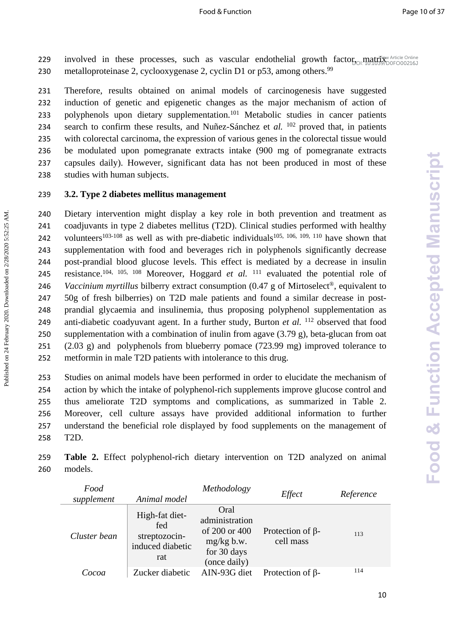229 involved in these processes, such as vascular endothelial growth factor, matrix  $\frac{1}{2}$  matrix  $\frac{1}{2}$  matrix  $\frac{1}{2}$  matrix  $\frac{1}{2}$  matrix  $\frac{1}{2}$  matrix  $\frac{1}{2}$  matrix  $\frac{1}{2}$  matrix  $\frac{1}{2}$  matrix 230 metalloproteinase 2, cyclooxygenase 2, cyclin D1 or p53, among others.<sup>99</sup>

 Therefore, results obtained on animal models of carcinogenesis have suggested induction of genetic and epigenetic changes as the major mechanism of action of polyphenols upon dietary supplementation.<sup>101</sup> Metabolic studies in cancer patients search to confirm these results, and Nuñez-Sánchez et *al.* <sup>102</sup> proved that, in patients with colorectal carcinoma, the expression of various genes in the colorectal tissue would be modulated upon pomegranate extracts intake (900 mg of pomegranate extracts capsules daily). However, significant data has not been produced in most of these studies with human subjects.

#### 239 **3.2. Type 2 diabetes mellitus management**

 Dietary intervention might display a key role in both prevention and treatment as coadjuvants in type 2 diabetes mellitus (T2D). Clinical studies performed with healthy 242 volunteers<sup>103-108</sup> as well as with pre-diabetic individuals<sup>105, 106, 109, 110</sup> have shown that supplementation with food and beverages rich in polyphenols significantly decrease post-prandial blood glucose levels. This effect is mediated by a decrease in insulin resistance.104, 105, 108 Moreover, Hoggard *et al.* <sup>111</sup> evaluated the potential role of *Vaccinium myrtillus* bilberry extract consumption (0.47 g of Mirtoselect®, equivalent to 50g of fresh bilberries) on T2D male patients and found a similar decrease in post- prandial glycaemia and insulinemia, thus proposing polyphenol supplementation as anti-diabetic coadyuvant agent. In a further study, Burton *et al.* <sup>112</sup> observed that food supplementation with a combination of inulin from agave (3.79 g), beta-glucan from oat (2.03 g) and polyphenols from blueberry pomace (723.99 mg) improved tolerance to metformin in male T2D patients with intolerance to this drug. **Food interaction Foodo Foodo Function Accepted Accepted Accepted Accepted Accepted Accepted Accepted Accepted Accepted Accepted Accepted Accepted Accepted Accepted Accepted Accepted** 

 Studies on animal models have been performed in order to elucidate the mechanism of action by which the intake of polyphenol-rich supplements improve glucose control and thus ameliorate T2D symptoms and complications, as summarized in Table 2. Moreover, cell culture assays have provided additional information to further understand the beneficial role displayed by food supplements on the management of 258 T2D.

| 259 |             | Table 2. Effect polyphenol-rich dietary intervention on T2D analyzed on animal |  |  |  |  |
|-----|-------------|--------------------------------------------------------------------------------|--|--|--|--|
|     | 260 models. |                                                                                |  |  |  |  |

| Food<br>supplement | Animal model                                                      | Methodology                                                                          | Effect                               | Reference |
|--------------------|-------------------------------------------------------------------|--------------------------------------------------------------------------------------|--------------------------------------|-----------|
| Cluster bean       | High-fat diet-<br>fed<br>streptozocin-<br>induced diabetic<br>rat | Oral<br>administration<br>of 200 or 400<br>mg/kg b.w.<br>for 30 days<br>(once daily) | Protection of $\beta$ -<br>cell mass | 113       |
| Cocoa              | Zucker diabetic                                                   | AIN-93G diet                                                                         | Protection of $\beta$ -              | 114       |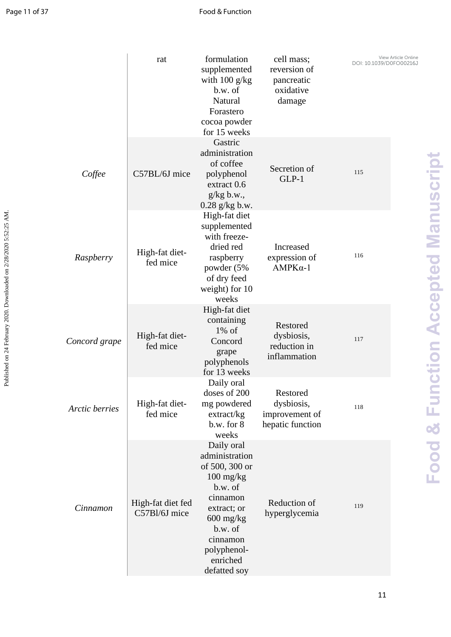|                                                                   |                | rat                                | formulation<br>supplemented<br>with $100$ g/kg<br>b.w. of<br>Natural<br>Forastero<br>cocoa powder<br>for 15 weeks                                                                                                                | cell mass;<br>reversion of<br>pancreatic<br>oxidative<br>damage | DOI: 10.1039/D0FO00216J | View Article Online              |
|-------------------------------------------------------------------|----------------|------------------------------------|----------------------------------------------------------------------------------------------------------------------------------------------------------------------------------------------------------------------------------|-----------------------------------------------------------------|-------------------------|----------------------------------|
|                                                                   | Coffee         | C57BL/6J mice                      | Gastric<br>administration<br>of coffee<br>polyphenol<br>extract 0.6<br>g/kg b.w.,<br>$0.28$ g/kg b.w.                                                                                                                            | Secretion of<br>GLP-1                                           | 115                     |                                  |
| Published on 24 February 2020. Downloaded on 2/28/2020 5:52:25 AM | Raspberry      | High-fat diet-<br>fed mice         | High-fat diet<br>supplemented<br>with freeze-<br>dried red<br>raspberry<br>powder (5%<br>of dry feed<br>weight) for 10<br>weeks                                                                                                  | Increased<br>expression of<br>$AMPK\alpha-1$                    | 116                     | <b>ction Accepted Manuscript</b> |
|                                                                   | Concord grape  | High-fat diet-<br>fed mice         | High-fat diet<br>containing<br>$1\%$ of<br>Concord<br>grape<br>polyphenols<br>for 13 weeks                                                                                                                                       | Restored<br>dysbiosis,<br>reduction in<br>inflammation          | 117                     |                                  |
|                                                                   | Arctic berries | High-fat diet-<br>fed mice         | Daily oral<br>doses of 200<br>mg powdered<br>extract/kg<br>b.w. for 8<br>weeks                                                                                                                                                   | Restored<br>dysbiosis,<br>improvement of<br>hepatic function    | 118                     | $\geq$<br>Food & Fur             |
|                                                                   | Cinnamon       | High-fat diet fed<br>C57Bl/6J mice | Daily oral<br>administration<br>of 500, 300 or<br>$100 \frac{\text{mg}}{\text{kg}}$<br>b.w. of<br>cinnamon<br>extract; or<br>$600 \frac{\text{mg}}{\text{kg}}$<br>b.w. of<br>cinnamon<br>polyphenol-<br>enriched<br>defatted soy | Reduction of<br>hyperglycemia                                   | 119                     |                                  |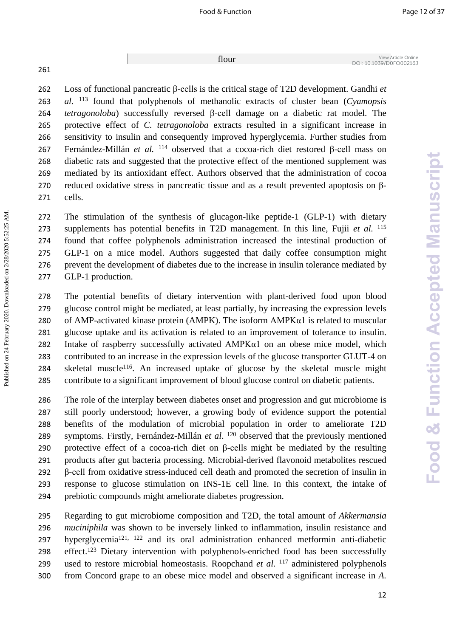Loss of functional pancreatic β-cells is the critical stage of T2D development. Gandhi *et al.* <sup>113</sup> found that polyphenols of methanolic extracts of cluster bean (*Cyamopsis tetragonoloba*) successfully reversed β-cell damage on a diabetic rat model. The protective effect of *C. tetragonoloba* extracts resulted in a significant increase in sensitivity to insulin and consequently improved hyperglycemia. Further studies from Fernández-Millán *et al.* <sup>114</sup> observed that a cocoa-rich diet restored β-cell mass on diabetic rats and suggested that the protective effect of the mentioned supplement was mediated by its antioxidant effect. Authors observed that the administration of cocoa reduced oxidative stress in pancreatic tissue and as a result prevented apoptosis on β- cells. Four the state of the state of the control of the contribute on 2/2020 and  $\sim$  **Function**  $\sim$  **Function Accepted Manuscript Accepted Manuscript Accepted Manuscript Accepted Manuscript Accepted Manusc** 

 The stimulation of the synthesis of glucagon-like peptide-1 (GLP-1) with dietary supplements has potential benefits in T2D management. In this line, Fujii *et al.* <sup>115</sup> found that coffee polyphenols administration increased the intestinal production of GLP-1 on a mice model. Authors suggested that daily coffee consumption might prevent the development of diabetes due to the increase in insulin tolerance mediated by GLP-1 production.

 The potential benefits of dietary intervention with plant-derived food upon blood glucose control might be mediated, at least partially, by increasing the expression levels of AMP-activated kinase protein (AMPK). The isoform AMPKα1 is related to muscular glucose uptake and its activation is related to an improvement of tolerance to insulin. Intake of raspberry successfully activated AMPKα1 on an obese mice model, which contributed to an increase in the expression levels of the glucose transporter GLUT-4 on 284 skeletal muscle<sup>116</sup>. An increased uptake of glucose by the skeletal muscle might contribute to a significant improvement of blood glucose control on diabetic patients.

 The role of the interplay between diabetes onset and progression and gut microbiome is still poorly understood; however, a growing body of evidence support the potential benefits of the modulation of microbial population in order to ameliorate T2D symptoms. Firstly, Fernández-Millán *et al*. <sup>120</sup> observed that the previously mentioned protective effect of a cocoa-rich diet on β-cells might be mediated by the resulting products after gut bacteria processing. Microbial-derived flavonoid metabolites rescued β-cell from oxidative stress-induced cell death and promoted the secretion of insulin in response to glucose stimulation on INS-1E cell line. In this context, the intake of prebiotic compounds might ameliorate diabetes progression.

 Regarding to gut microbiome composition and T2D, the total amount of *Akkermansia muciniphila* was shown to be inversely linked to inflammation, insulin resistance and 297 hyperglycemia<sup>121, 122</sup> and its oral administration enhanced metformin anti-diabetic 298 effect.<sup>123</sup> Dietary intervention with polyphenols-enriched food has been successfully used to restore microbial homeostasis. Roopchand *et al*. <sup>117</sup> administered polyphenols from Concord grape to an obese mice model and observed a significant increase in *A.*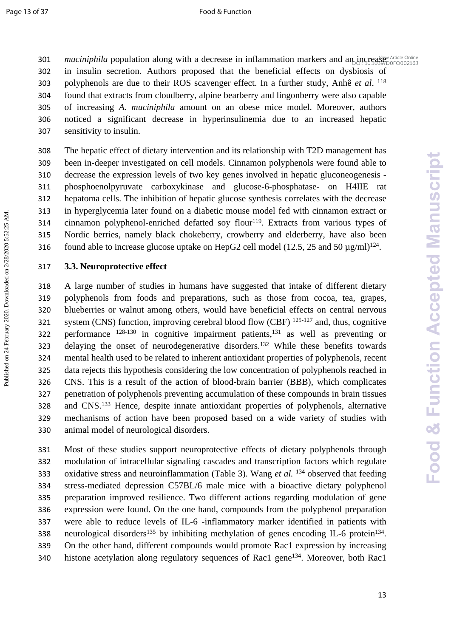in insulin secretion. Authors proposed that the beneficial effects on dysbiosis of polyphenols are due to their ROS scavenger effect. In a further study, Anhê *et al*. 118 found that extracts from cloudberry, alpine bearberry and lingonberry were also capable of increasing *A. muciniphila* amount on an obese mice model. Moreover, authors noticed a significant decrease in hyperinsulinemia due to an increased hepatic sensitivity to insulin.

 The hepatic effect of dietary intervention and its relationship with T2D management has been in-deeper investigated on cell models. Cinnamon polyphenols were found able to decrease the expression levels of two key genes involved in hepatic gluconeogenesis - phosphoenolpyruvate carboxykinase and glucose-6-phosphatase- on H4IIE rat hepatoma cells. The inhibition of hepatic glucose synthesis correlates with the decrease in hyperglycemia later found on a diabetic mouse model fed with cinnamon extract or 314 cinnamon polyphenol-enriched defatted soy flour<sup>119</sup>. Extracts from various types of Nordic berries, namely black chokeberry, crowberry and elderberry, have also been 316 found able to increase glucose uptake on HepG2 cell model (12.5, 25 and 50  $\mu$ g/ml)<sup>124</sup>.

#### **3.3. Neuroprotective effect**

 A large number of studies in humans have suggested that intake of different dietary polyphenols from foods and preparations, such as those from cocoa, tea, grapes, blueberries or walnut among others, would have beneficial effects on central nervous 321 system (CNS) function, improving cerebral blood flow (CBF) <sup>125-127</sup> and, thus, cognitive performance 128-130 in cognitive impairment patients,<sup>131</sup> as well as preventing or delaying the onset of neurodegenerative disorders.<sup>132</sup> While these benefits towards mental health used to be related to inherent antioxidant properties of polyphenols, recent data rejects this hypothesis considering the low concentration of polyphenols reached in CNS. This is a result of the action of blood-brain barrier (BBB), which complicates penetration of polyphenols preventing accumulation of these compounds in brain tissues and CNS.<sup>133</sup> Hence, despite innate antioxidant properties of polyphenols, alternative mechanisms of action have been proposed based on a wide variety of studies with animal model of neurological disorders. **Food <b>Food Example The Constrainer Constrainer Constrainer and the study of the Constrainer Constrainer and the Constrainer Constrainer Constrainer Constrainer Constrainer Constrainer Constrainer Constrainer Constrainer** 

 Most of these studies support neuroprotective effects of dietary polyphenols through modulation of intracellular signaling cascades and transcription factors which regulate oxidative stress and neuroinflammation (Table 3). Wang *et al.* <sup>134</sup> observed that feeding stress-mediated depression C57BL/6 male mice with a bioactive dietary polyphenol preparation improved resilience. Two different actions regarding modulation of gene expression were found. On the one hand, compounds from the polyphenol preparation were able to reduce levels of IL-6 -inflammatory marker identified in patients with 338 neurological disorders<sup>135</sup> by inhibiting methylation of genes encoding IL-6 protein<sup>134</sup>. On the other hand, different compounds would promote Rac1 expression by increasing histone acetylation along regulatory sequences of Rac1 gene<sup>134</sup>. Moreover, both Rac1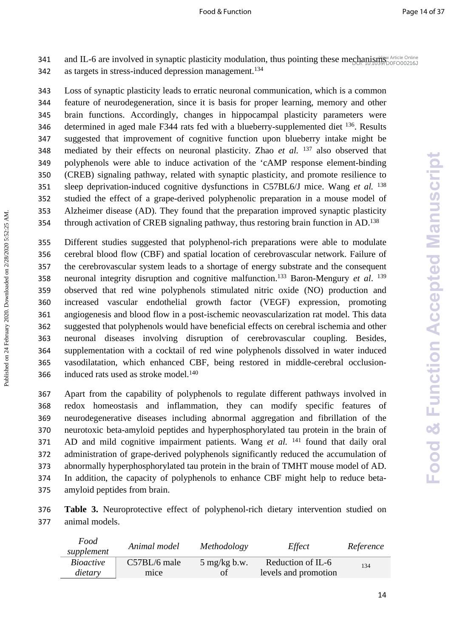341 and IL-6 are involved in synaptic plasticity modulation, thus pointing these meghanisms Morrocoozies as targets in stress-induced depression management.<sup>134</sup>

 Loss of synaptic plasticity leads to erratic neuronal communication, which is a common feature of neurodegeneration, since it is basis for proper learning, memory and other brain functions. Accordingly, changes in hippocampal plasticity parameters were determined in aged male F344 rats fed with a blueberry-supplemented diet <sup>136</sup>. Results suggested that improvement of cognitive function upon blueberry intake might be mediated by their effects on neuronal plasticity. Zhao *et al.* <sup>137</sup> also observed that polyphenols were able to induce activation of the 'cAMP response element-binding (CREB) signaling pathway, related with synaptic plasticity, and promote resilience to sleep deprivation-induced cognitive dysfunctions in C57BL6/J mice. Wang *et al.* <sup>138</sup> studied the effect of a grape-derived polyphenolic preparation in a mouse model of Alzheimer disease (AD). They found that the preparation improved synaptic plasticity 354 through activation of CREB signaling pathway, thus restoring brain function in AD.<sup>138</sup> **Fo EXCEPT ACCEPT** and the method of **Function Accepted Manuscript Conserverse CBF CALC CONSERVATION CONSERVATION CONSERVATION CONSERVATION CONSERVATION CONSERVATION CONSERVATION CONSERVATION C** 

 Different studies suggested that polyphenol-rich preparations were able to modulate cerebral blood flow (CBF) and spatial location of cerebrovascular network. Failure of the cerebrovascular system leads to a shortage of energy substrate and the consequent 358 neuronal integrity disruption and cognitive malfunction.<sup>133</sup> Baron-Mengury *et al.* <sup>139</sup> observed that red wine polyphenols stimulated nitric oxide (NO) production and increased vascular endothelial growth factor (VEGF) expression, promoting angiogenesis and blood flow in a post-ischemic neovascularization rat model. This data suggested that polyphenols would have beneficial effects on cerebral ischemia and other neuronal diseases involving disruption of cerebrovascular coupling. Besides, supplementation with a cocktail of red wine polyphenols dissolved in water induced vasodilatation, which enhanced CBF, being restored in middle-cerebral occlusion-induced rats used as stroke model.<sup>140</sup>

 Apart from the capability of polyphenols to regulate different pathways involved in redox homeostasis and inflammation, they can modify specific features of neurodegenerative diseases including abnormal aggregation and fibrillation of the neurotoxic beta-amyloid peptides and hyperphosphorylated tau protein in the brain of AD and mild cognitive impairment patients. Wang *et al.* <sup>141</sup> found that daily oral administration of grape-derived polyphenols significantly reduced the accumulation of abnormally hyperphosphorylated tau protein in the brain of TMHT mouse model of AD. In addition, the capacity of polyphenols to enhance CBF might help to reduce beta-amyloid peptides from brain.

 **Table 3.** Neuroprotective effect of polyphenol-rich dietary intervention studied on animal models.

| Food<br>supplement          | Animal model           | Methodology            | <i>Effect</i>                             | Reference |
|-----------------------------|------------------------|------------------------|-------------------------------------------|-----------|
| <i>Bioactive</i><br>dietary | $C57BL/6$ male<br>mice | $5 \text{ mg/kg}$ b.w. | Reduction of IL-6<br>levels and promotion | 134       |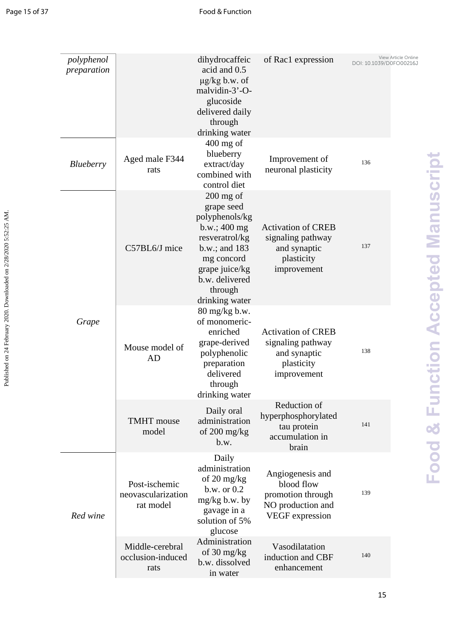| polyphenol<br>preparation                                         |                                                  | dihydrocaffeic<br>acid and 0.5<br>$\mu$ g/kg b.w. of<br>malvidin-3'-O-<br>glucoside<br>delivered daily<br>through<br>drinking water                                           | of Rac1 expression                                                                          | View Article Online<br>DOI: 10.1039/D0FO00216J |                                        |
|-------------------------------------------------------------------|--------------------------------------------------|-------------------------------------------------------------------------------------------------------------------------------------------------------------------------------|---------------------------------------------------------------------------------------------|------------------------------------------------|----------------------------------------|
| Blueberry                                                         | Aged male F344<br>rats                           | $400$ mg of<br>blueberry<br>extract/day<br>combined with<br>control diet                                                                                                      | Improvement of<br>neuronal plasticity                                                       | 136                                            |                                        |
| Published on 24 February 2020. Downloaded on 2/28/2020 5:52:25 AM | C57BL6/J mice                                    | $200$ mg of<br>grape seed<br>polyphenols/kg<br>b.w.; 400 mg<br>resveratrol/kg<br>b.w.; and 183<br>mg concord<br>grape juice/kg<br>b.w. delivered<br>through<br>drinking water | <b>Activation of CREB</b><br>signaling pathway<br>and synaptic<br>plasticity<br>improvement | 137                                            | ction Accepted Manuscri                |
| Grape                                                             | Mouse model of<br>AD                             | 80 mg/kg b.w.<br>of monomeric-<br>enriched<br>grape-derived<br>polyphenolic<br>preparation<br>delivered<br>through<br>drinking water                                          | <b>Activation of CREB</b><br>signaling pathway<br>and synaptic<br>plasticity<br>improvement | 138                                            | <b>Contract</b><br><b>The Contract</b> |
|                                                                   | <b>TMHT</b> mouse<br>model                       | Daily oral<br>administration<br>of $200$ mg/kg<br>b.w.                                                                                                                        | Reduction of<br>hyperphosphorylated<br>tau protein<br>accumulation in<br>brain              | 141                                            | Food & Fu                              |
| Red wine                                                          | Post-ischemic<br>neovascularization<br>rat model | Daily<br>administration<br>of 20 mg/kg<br>$b.w.$ or $0.2$<br>$mg/kg$ b.w. by<br>gavage in a<br>solution of 5%<br>glucose                                                      | Angiogenesis and<br>blood flow<br>promotion through<br>NO production and<br>VEGF expression | 139                                            |                                        |
|                                                                   | Middle-cerebral<br>occlusion-induced<br>rats     | Administration<br>of 30 mg/kg<br>b.w. dissolved<br>in water                                                                                                                   | Vasodilatation<br>induction and CBF<br>enhancement                                          | 140                                            |                                        |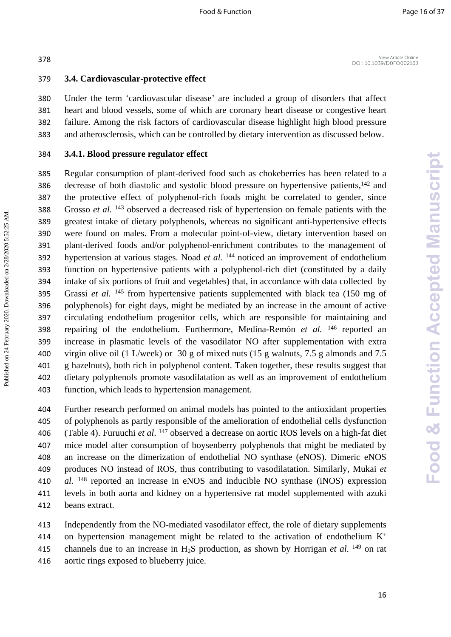### **3.4. Cardiovascular-protective effect**

 Under the term 'cardiovascular disease' are included a group of disorders that affect heart and blood vessels, some of which are coronary heart disease or congestive heart failure. Among the risk factors of cardiovascular disease highlight high blood pressure and atherosclerosis, which can be controlled by dietary intervention as discussed below.

#### **3.4.1. Blood pressure regulator effect**

 Regular consumption of plant-derived food such as chokeberries has been related to a decrease of both diastolic and systolic blood pressure on hypertensive patients,<sup>142</sup> and the protective effect of polyphenol-rich foods might be correlated to gender, since Grosso *et al.* <sup>143</sup> observed a decreased risk of hypertension on female patients with the greatest intake of dietary polyphenols, whereas no significant anti-hypertensive effects were found on males. From a molecular point-of-view, dietary intervention based on plant-derived foods and/or polyphenol-enrichment contributes to the management of hypertension at various stages. Noad *et al.* <sup>144</sup> noticed an improvement of endothelium function on hypertensive patients with a polyphenol-rich diet (constituted by a daily intake of six portions of fruit and vegetables) that, in accordance with data collected by Grassi *et al.* <sup>145</sup> from hypertensive patients supplemented with black tea (150 mg of polyphenols) for eight days, might be mediated by an increase in the amount of active circulating endothelium progenitor cells, which are responsible for maintaining and repairing of the endothelium. Furthermore, Medina-Remón *et al.* <sup>146</sup> reported an increase in plasmatic levels of the vasodilator NO after supplementation with extra virgin olive oil (1 L/week) or 30 g of mixed nuts (15 g walnuts, 7.5 g almonds and 7.5 g hazelnuts), both rich in polyphenol content. Taken together, these results suggest that dietary polyphenols promote vasodilatation as well as an improvement of endothelium function, which leads to hypertension management. **For <b>Food Example 1998 A. Cardiovascular-protective effect**<br> **Food CASC Transfer Conserved Access** and chemochemes between the community beat and hence the different on 200 and alternative and Book tests between the

 Further research performed on animal models has pointed to the antioxidant properties of polyphenols as partly responsible of the amelioration of endothelial cells dysfunction (Table 4). Furuuchi *et al*. <sup>147</sup> observed a decrease on aortic ROS levels on a high-fat diet mice model after consumption of boysenberry polyphenols that might be mediated by an increase on the dimerization of endothelial NO synthase (eNOS). Dimeric eNOS produces NO instead of ROS, thus contributing to vasodilatation. Similarly, Mukai *et al.* <sup>148</sup> reported an increase in eNOS and inducible NO synthase (iNOS) expression levels in both aorta and kidney on a hypertensive rat model supplemented with azuki beans extract.

 Independently from the NO-mediated vasodilator effect, the role of dietary supplements 414 on hypertension management might be related to the activation of endothelium  $K^+$ 415 channels due to an increase in  $H_2S$  production, as shown by Horrigan *et al.* <sup>149</sup> on rat aortic rings exposed to blueberry juice.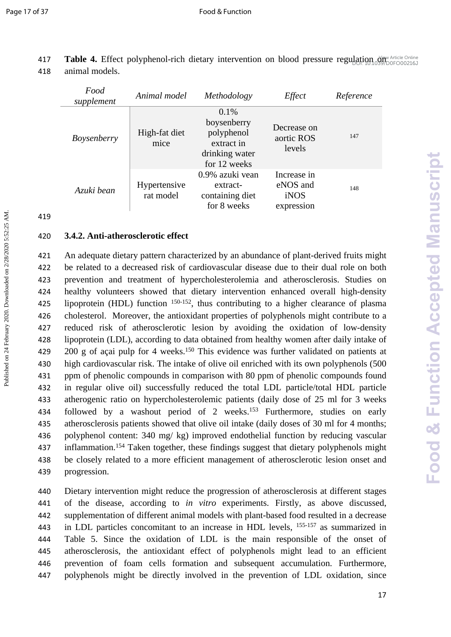| 417 | <b>Table 4.</b> Effect polyphenol-rich dietary intervention on blood pressure regulation $\delta_{\text{B}}^{\text{inv} \text{ Article Online}}$ |
|-----|--------------------------------------------------------------------------------------------------------------------------------------------------|
|     | 418 animal models.                                                                                                                               |

| Food<br>supplement | Animal model              | Methodology                                                                          | <i>Effect</i>                                 | Reference |
|--------------------|---------------------------|--------------------------------------------------------------------------------------|-----------------------------------------------|-----------|
| <i>Boysenberry</i> | High-fat diet<br>mice     | $0.1\%$<br>boysenberry<br>polyphenol<br>extract in<br>drinking water<br>for 12 weeks | Decrease on<br>aortic ROS<br>levels           | 147       |
| Azuki bean         | Hypertensive<br>rat model | 0.9% azuki yean<br>extract-<br>containing diet<br>for 8 weeks                        | Increase in<br>eNOS and<br>iNOS<br>expression | 148       |

### 420 **3.4.2. Anti-atherosclerotic effect**

 An adequate dietary pattern characterized by an abundance of plant-derived fruits might be related to a decreased risk of cardiovascular disease due to their dual role on both prevention and treatment of hypercholesterolemia and atherosclerosis. Studies on healthy volunteers showed that dietary intervention enhanced overall high-density 425 lipoprotein (HDL) function  $150-152$ , thus contributing to a higher clearance of plasma cholesterol. Moreover, the antioxidant properties of polyphenols might contribute to a reduced risk of atherosclerotic lesion by avoiding the oxidation of low-density lipoprotein (LDL), according to data obtained from healthy women after daily intake of 429 200 g of açai pulp for 4 weeks.<sup>150</sup> This evidence was further validated on patients at high cardiovascular risk. The intake of olive oil enriched with its own polyphenols (500 ppm of phenolic compounds in comparison with 80 ppm of phenolic compounds found in regular olive oil) successfully reduced the total LDL particle/total HDL particle atherogenic ratio on hypercholesterolemic patients (daily dose of 25 ml for 3 weeks followed by a washout period of 2 weeks.<sup>153</sup> Furthermore, studies on early atherosclerosis patients showed that olive oil intake (daily doses of 30 ml for 4 months; polyphenol content: 340 mg/ kg) improved endothelial function by reducing vascular inflammation.<sup>154</sup> Taken together, these findings suggest that dietary polyphenols might be closely related to a more efficient management of atherosclerotic lesion onset and progression. **Food A. Food A. Function Animal model Methodology** *Effect Reference computering Consistent Computering <i>Published on 2/28/2020* **<b>***Manuscriptum Computering Computering Computering*

 Dietary intervention might reduce the progression of atherosclerosis at different stages of the disease, according to *in vitro* experiments. Firstly, as above discussed, supplementation of different animal models with plant-based food resulted in a decrease in LDL particles concomitant to an increase in HDL levels, 155-157 as summarized in Table 5. Since the oxidation of LDL is the main responsible of the onset of atherosclerosis, the antioxidant effect of polyphenols might lead to an efficient prevention of foam cells formation and subsequent accumulation. Furthermore, polyphenols might be directly involved in the prevention of LDL oxidation, since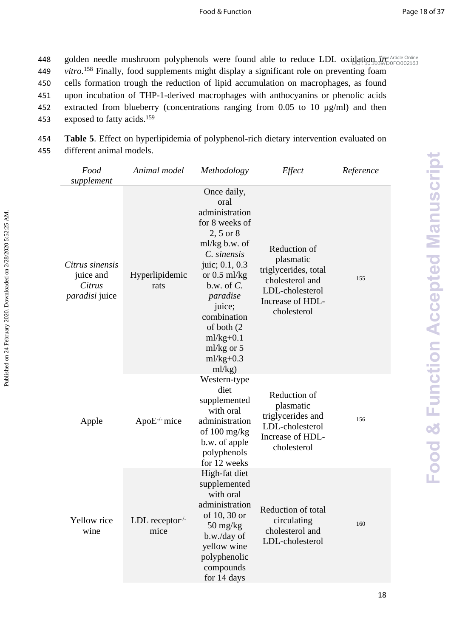448 golden needle mushroom polyphenols were found able to reduce LDL oxidation *in* Article Online *vitro.*<sup>158</sup> Finally, food supplements might display a significant role on preventing foam cells formation trough the reduction of lipid accumulation on macrophages, as found upon incubation of THP-1-derived macrophages with anthocyanins or phenolic acids extracted from blueberry (concentrations ranging from 0.05 to 10 µg/ml) and then exposed to fatty acids.<sup>159</sup>

| 454<br>455 | different animal models.                                        |                              |                                                                                                                                                                                                                                                                              | Table 5. Effect on hyperlipidemia of polyphenol-rich dietary intervention evaluated on                                     |           |
|------------|-----------------------------------------------------------------|------------------------------|------------------------------------------------------------------------------------------------------------------------------------------------------------------------------------------------------------------------------------------------------------------------------|----------------------------------------------------------------------------------------------------------------------------|-----------|
|            | Food<br>supplement                                              | Animal model                 | Methodology                                                                                                                                                                                                                                                                  | Effect                                                                                                                     | Reference |
|            | Citrus sinensis<br>juice and<br>Citrus<br><i>paradisi</i> juice | Hyperlipidemic<br>rats       | Once daily,<br>oral<br>administration<br>for 8 weeks of<br>$2, 5$ or $8$<br>$ml/kg$ b.w. of<br>C. sinensis<br>juic; 0.1, 0.3<br>or $0.5$ ml/kg<br>$b.w.$ of $C.$<br>paradise<br>juice;<br>combination<br>of both (2)<br>$ml/kg+0.1$<br>ml/kg or $5$<br>$ml/kg+0.3$<br>ml/kg) | Reduction of<br>plasmatic<br>triglycerides, total<br>cholesterol and<br>LDL-cholesterol<br>Increase of HDL-<br>cholesterol | 155       |
|            | Apple                                                           | Apo $E^{-/-}$ mice           | Western-type<br>diet<br>supplemented<br>with oral<br>administration<br>of $100 \frac{\text{mg}}{\text{kg}}$<br>b.w. of apple<br>polyphenols<br>for 12 weeks                                                                                                                  | Reduction of<br>plasmatic<br>triglycerides and<br>LDL-cholesterol<br>Increase of HDL-<br>cholesterol                       | 156       |
|            | Yellow rice<br>wine                                             | LDL receptor $\cdot$<br>mice | High-fat diet<br>supplemented<br>with oral<br>administration<br>of 10, 30 or<br>$50 \frac{\text{mg}}{\text{kg}}$<br>b.w./day of<br>yellow wine<br>polyphenolic<br>compounds                                                                                                  | Reduction of total<br>circulating<br>cholesterol and<br>LDL-cholesterol                                                    | 160       |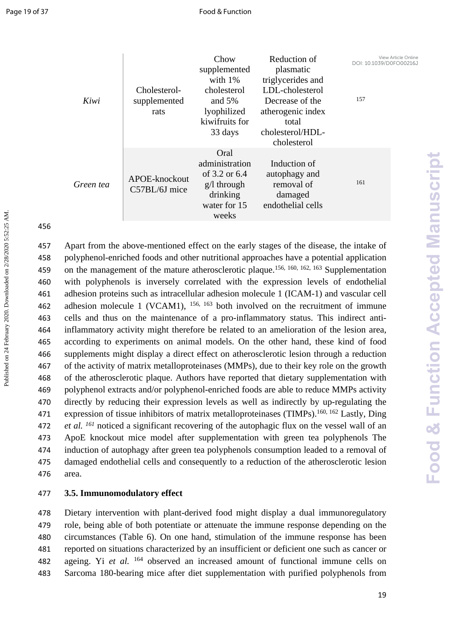|           |                                | Chow                                                                                          | Reduction of                                                                | View Article Onli<br>DOI: 10.1039/D0FO0021 |
|-----------|--------------------------------|-----------------------------------------------------------------------------------------------|-----------------------------------------------------------------------------|--------------------------------------------|
|           |                                | supplemented                                                                                  | plasmatic                                                                   |                                            |
|           |                                | with $1\%$                                                                                    | triglycerides and                                                           |                                            |
|           | Cholesterol-                   | cholesterol                                                                                   | LDL-cholesterol                                                             |                                            |
| Kiwi      | supplemented                   | and $5%$                                                                                      | Decrease of the                                                             | 157                                        |
|           | rats                           | lyophilized                                                                                   | atherogenic index                                                           |                                            |
|           |                                | kiwifruits for                                                                                | total                                                                       |                                            |
|           |                                | 33 days                                                                                       | cholesterol/HDL-<br>cholesterol                                             |                                            |
| Green tea | APOE-knockout<br>C57BL/6J mice | Oral<br>administration<br>of 3.2 or 6.4<br>$g/l$ through<br>drinking<br>water for 15<br>weeks | Induction of<br>autophagy and<br>removal of<br>damaged<br>endothelial cells | 161                                        |

 Apart from the above-mentioned effect on the early stages of the disease, the intake of polyphenol-enriched foods and other nutritional approaches have a potential application 459 on the management of the mature atherosclerotic plaque.<sup>156, 160, 162, 163</sup> Supplementation with polyphenols is inversely correlated with the expression levels of endothelial adhesion proteins such as intracellular adhesion molecule 1 (ICAM-1) and vascular cell 462 adhesion molecule 1 (VCAM1), <sup>156, 163</sup> both involved on the recruitment of immune cells and thus on the maintenance of a pro-inflammatory status. This indirect anti- inflammatory activity might therefore be related to an amelioration of the lesion area, according to experiments on animal models. On the other hand, these kind of food supplements might display a direct effect on atherosclerotic lesion through a reduction of the activity of matrix metalloproteinases (MMPs), due to their key role on the growth of the atherosclerotic plaque. Authors have reported that dietary supplementation with polyphenol extracts and/or polyphenol-enriched foods are able to reduce MMPs activity directly by reducing their expression levels as well as indirectly by up-regulating the 471 expression of tissue inhibitors of matrix metalloproteinases (TIMPs).<sup>160, 162</sup> Lastly, Ding *et al. <sup>161</sup>* noticed a significant recovering of the autophagic flux on the vessel wall of an ApoE knockout mice model after supplementation with green tea polyphenols The induction of autophagy after green tea polyphenols consumption leaded to a removal of damaged endothelial cells and consequently to a reduction of the atherosclerotic lesion 476 area. **For**  $\frac{1}{2}$  **For**  $\frac{1}{2}$  **For**  $\frac{1}{2}$  **Consideration Consideration Consideration Accepted Accepted Accepted Accepted Accepted Accepted Accepted Accepted Accepted Accepted Accepted Accepted** 

#### 477 **3.5. Immunomodulatory effect**

 Dietary intervention with plant-derived food might display a dual immunoregulatory role, being able of both potentiate or attenuate the immune response depending on the circumstances (Table 6). On one hand, stimulation of the immune response has been reported on situations characterized by an insufficient or deficient one such as cancer or ageing. Yi *et al.* <sup>164</sup> observed an increased amount of functional immune cells on Sarcoma 180-bearing mice after diet supplementation with purified polyphenols from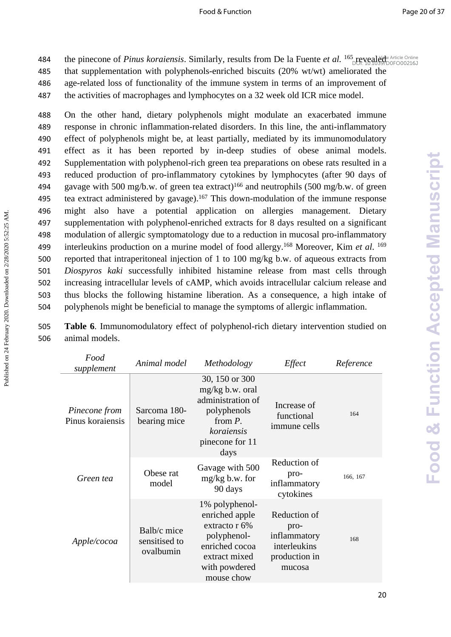484 the pinecone of *Pinus koraiensis*. Similarly, results from De la Fuente *et al.* <sup>165</sup> revealed Marticle Online that supplementation with polyphenols-enriched biscuits (20% wt/wt) ameliorated the age-related loss of functionality of the immune system in terms of an improvement of the activities of macrophages and lymphocytes on a 32 week old ICR mice model.

 On the other hand, dietary polyphenols might modulate an exacerbated immune response in chronic inflammation-related disorders. In this line, the anti-inflammatory effect of polyphenols might be, at least partially, mediated by its immunomodulatory effect as it has been reported by in-deep studies of obese animal models. Supplementation with polyphenol-rich green tea preparations on obese rats resulted in a reduced production of pro-inflammatory cytokines by lymphocytes (after 90 days of 494 gavage with 500 mg/b.w. of green tea extract)<sup>166</sup> and neutrophils (500 mg/b.w. of green tea extract administered by gavage).<sup>167</sup> This down-modulation of the immune response might also have a potential application on allergies management. Dietary supplementation with polyphenol-enriched extracts for 8 days resulted on a significant modulation of allergic symptomatology due to a reduction in mucosal pro-inflammatory interleukins production on a murine model of food allergy.<sup>168</sup> Moreover, Kim *et al*. 169 reported that intraperitoneal injection of 1 to 100 mg/kg b.w. of aqueous extracts from *Diospyros kaki* successfully inhibited histamine release from mast cells through increasing intracellular levels of cAMP, which avoids intracellular calcium release and thus blocks the following histamine liberation. As a consequence, a high intake of polyphenols might be beneficial to manage the symptoms of allergic inflammation. **Food** the pinescole of *Functionics Accepted* **Accepted Manuscripts C** *Respectively* **<b>Accepted Accepted Accepted Accepted Accepted Accepted Accepted Accepted Accepted Accepted Accepted Accep** 

| 505 | Table 6. Immunomodulatory effect of polyphenol-rich dietary intervention studied on |
|-----|-------------------------------------------------------------------------------------|
| 506 | animal models.                                                                      |

| Food<br>supplement                | Animal model                              | Methodology                                                                                                                        | Effect                                                                          | Reference |
|-----------------------------------|-------------------------------------------|------------------------------------------------------------------------------------------------------------------------------------|---------------------------------------------------------------------------------|-----------|
| Pinecone from<br>Pinus koraiensis | Sarcoma 180-<br>bearing mice              | 30, 150 or 300<br>$mg/kg$ b.w. oral<br>administration of<br>polyphenols<br>from $P$ .<br>koraiensis<br>pinecone for 11<br>days     | Increase of<br>functional<br>immune cells                                       | 164       |
| Green tea                         | Obese rat<br>model                        | Gavage with 500<br>$mg/kg$ b.w. for<br>90 days                                                                                     | Reduction of<br>pro-<br>inflammatory<br>cytokines                               | 166, 167  |
| Apple/cocoa                       | Balb/c mice<br>sensitised to<br>ovalbumin | 1% polyphenol-<br>enriched apple<br>extracto r 6%<br>polyphenol-<br>enriched cocoa<br>extract mixed<br>with powdered<br>mouse chow | Reduction of<br>pro-<br>inflammatory<br>interleukins<br>production in<br>mucosa | 168       |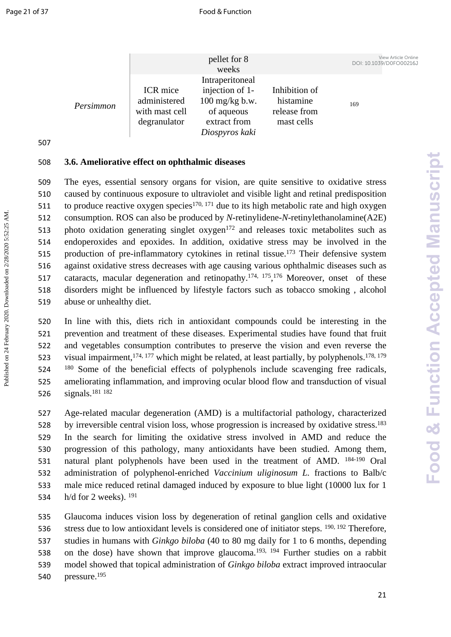|           |                                                            | pellet for 8<br>weeks                                                                                          |                                                          | View Article Online<br>DOI: 10.1039/D0FO00216J |
|-----------|------------------------------------------------------------|----------------------------------------------------------------------------------------------------------------|----------------------------------------------------------|------------------------------------------------|
| Persimmon | ICR mice<br>administered<br>with mast cell<br>degranulator | Intraperitoneal<br>injection of 1-<br>$100 \text{ mg/kg}$ b.w.<br>of aqueous<br>extract from<br>Diospyros kaki | Inhibition of<br>histamine<br>release from<br>mast cells | 169                                            |

#### 508 **3.6. Ameliorative effect on ophthalmic diseases**

 The eyes, essential sensory organs for vision, are quite sensitive to oxidative stress caused by continuous exposure to ultraviolet and visible light and retinal predisposition 511 to produce reactive oxygen species<sup>170, 171</sup> due to its high metabolic rate and high oxygen consumption. ROS can also be produced by *N*-retinylidene-*N*-retinylethanolamine(A2E) 513 photo oxidation generating singlet  $oxygen<sup>172</sup>$  and releases toxic metabolites such as endoperoxides and epoxides. In addition, oxidative stress may be involved in the production of pre-inflammatory cytokines in retinal tissue.<sup>173</sup> Their defensive system against oxidative stress decreases with age causing various ophthalmic diseases such as 517 cataracts, macular degeneration and retinopathy.<sup>174, 175</sup>,<sup>176</sup> Moreover, onset of these disorders might be influenced by lifestyle factors such as tobacco smoking , alcohol abuse or unhealthy diet. **For the set of the set of the set of the set of the set of the set of the set of the set of the set of the set of the set of the set of the set of the set of the set of the set of the set of the set of the set of the set** 

 In line with this, diets rich in antioxidant compounds could be interesting in the prevention and treatment of these diseases. Experimental studies have found that fruit and vegetables consumption contributes to preserve the vision and even reverse the 523 visual impairment,  $174, 177$  which might be related, at least partially, by polyphenols.<sup>178, 179</sup> <sup>180</sup> Some of the beneficial effects of polyphenols include scavenging free radicals, ameliorating inflammation, and improving ocular blood flow and transduction of visual signals.<sup>181</sup> <sup>182</sup>

 Age-related macular degeneration (AMD) is a multifactorial pathology, characterized 528 by irreversible central vision loss, whose progression is increased by oxidative stress.<sup>183</sup> In the search for limiting the oxidative stress involved in AMD and reduce the progression of this pathology, many antioxidants have been studied. Among them, natural plant polyphenols have been used in the treatment of AMD. 184-190 Oral administration of polyphenol-enriched *Vaccinium uliginosum L.* fractions to Balb/c male mice reduced retinal damaged induced by exposure to blue light (10000 lux for 1 h/d for 2 weeks). <sup>191</sup>

 Glaucoma induces vision loss by degeneration of retinal ganglion cells and oxidative 536 stress due to low antioxidant levels is considered one of initiator steps. <sup>190, 192</sup> Therefore, studies in humans with *Ginkgo biloba* (40 to 80 mg daily for 1 to 6 months, depending on the dose) have shown that improve glaucoma.193, 194 Further studies on a rabbit model showed that topical administration of *Ginkgo biloba* extract improved intraocular pressure.<sup>195</sup>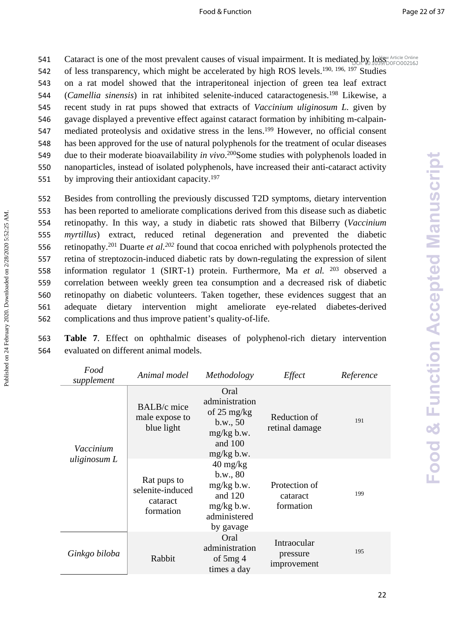541 Cataract is one of the most prevalent causes of visual impairment. It is mediated by loss Article Online 542 of less transparency, which might be accelerated by high ROS levels.<sup>190, 196, 197</sup> Studies on a rat model showed that the intraperitoneal injection of green tea leaf extract (*Camellia sinensis*) in rat inhibited selenite-induced cataractogenesis.<sup>198</sup> Likewise, a recent study in rat pups showed that extracts of *Vaccinium uliginosum L.* given by gavage displayed a preventive effect against cataract formation by inhibiting m-calpain-

547 mediated proteolysis and oxidative stress in the lens.<sup>199</sup> However, no official consent 548 has been approved for the use of natural polyphenols for the treatment of ocular diseases 549 due to their moderate bioavailability *in vivo*.<sup>200</sup>Some studies with polyphenols loaded in 550 nanoparticles, instead of isolated polyphenols, have increased their anti-cataract activity 551 by improving their antioxidant capacity.<sup>197</sup>

 Besides from controlling the previously discussed T2D symptoms, dietary intervention has been reported to ameliorate complications derived from this disease such as diabetic retinopathy. In this way, a study in diabetic rats showed that Bilberry (*Vaccinium myrtillus*) extract, reduced retinal degeneration and prevented the diabetic retinopathy.<sup>201</sup> Duarte *et al.<sup>202</sup>* found that cocoa enriched with polyphenols protected the retina of streptozocin-induced diabetic rats by down-regulating the expression of silent information regulator 1 (SIRT-1) protein. Furthermore, Ma *et al.* <sup>203</sup> observed a correlation between weekly green tea consumption and a decreased risk of diabetic retinopathy on diabetic volunteers. Taken together, these evidences suggest that an adequate dietary intervention might ameliorate eye-related diabetes-derived complications and thus improve patient's quality-of-life. **For Control on 24 February 2021** The most prevailent and the interperior of  $\theta$  and a rate model showed that the interperior on 2 February 2022. The control of the interperior of the state of  $\theta$  (*Coronible showed*) t

563 **Table 7**. Effect on ophthalmic diseases of polyphenol-rich dietary intervention 564 evaluated on different animal models.

| Food<br>supplement | Animal model                                             | Methodology                                                                                                          | <i>Effect</i>                          | Reference |
|--------------------|----------------------------------------------------------|----------------------------------------------------------------------------------------------------------------------|----------------------------------------|-----------|
| Vaccinium          | <b>BALB</b> /c mice<br>male expose to<br>blue light      | Oral<br>administration<br>of 25 mg/kg<br>b.w., 50<br>$mg/kg$ b.w.<br>and $100$<br>$mg/kg$ b.w.                       | Reduction of<br>retinal damage         | 191       |
| uliginosum L       | Rat pups to<br>selenite-induced<br>cataract<br>formation | $40 \frac{\text{mg}}{\text{kg}}$<br>b.w., 80<br>$mg/kg$ b.w.<br>and 120<br>$mg/kg$ b.w.<br>administered<br>by gavage | Protection of<br>cataract<br>formation | 199       |
| Ginkgo biloba      | Rabbit                                                   | Oral<br>administration<br>of $5mg/4$<br>times a day                                                                  | Intraocular<br>pressure<br>improvement | 195       |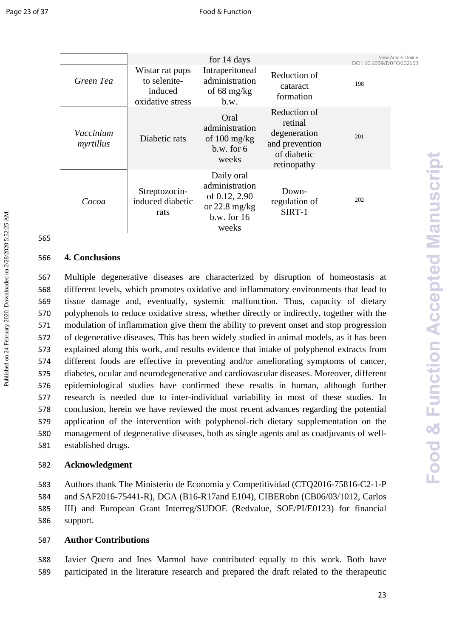|                        |                                                                | for 14 days                                                                                        |                                                                                         | View Article O<br>DOI: 10.1039/D0FO002 |
|------------------------|----------------------------------------------------------------|----------------------------------------------------------------------------------------------------|-----------------------------------------------------------------------------------------|----------------------------------------|
| Green Tea              | Wistar rat pups<br>to selenite-<br>induced<br>oxidative stress | Intraperitoneal<br>administration<br>of 68 mg/kg<br>b.w.                                           | Reduction of<br>cataract<br>formation                                                   | 198                                    |
| Vaccinium<br>myrtillus | Diabetic rats                                                  | Oral<br>administration<br>of $100 \frac{\text{mg}}{\text{kg}}$<br>$b.w.$ for $6$<br>weeks          | Reduction of<br>retinal<br>degeneration<br>and prevention<br>of diabetic<br>retinopathy | 201                                    |
| Cocoa                  | Streptozocin-<br>induced diabetic<br>rats                      | Daily oral<br>administration<br>of 0.12, 2.90<br>or $22.8 \text{ mg/kg}$<br>$b.w.$ for 16<br>weeks | Down-<br>regulation of<br>SIRT-1                                                        | 202                                    |

#### 566 **4. Conclusions**

 Multiple degenerative diseases are characterized by disruption of homeostasis at different levels, which promotes oxidative and inflammatory environments that lead to tissue damage and, eventually, systemic malfunction. Thus, capacity of dietary polyphenols to reduce oxidative stress, whether directly or indirectly, together with the modulation of inflammation give them the ability to prevent onset and stop progression of degenerative diseases. This has been widely studied in animal models, as it has been explained along this work, and results evidence that intake of polyphenol extracts from different foods are effective in preventing and/or ameliorating symptoms of cancer, diabetes, ocular and neurodegenerative and cardiovascular diseases. Moreover, different epidemiological studies have confirmed these results in human, although further research is needed due to inter-individual variability in most of these studies. In conclusion, herein we have reviewed the most recent advances regarding the potential application of the intervention with polyphenol-rich dietary supplementation on the management of degenerative diseases, both as single agents and as coadjuvants of well- established drugs. **Form Ten** Wister rat puns Interactional Reduction of<br> **Form Ten interaction** contradicts and the contradict on 2020<br> **Function Accepted Contradicts Contradict and the contradicts Contradicts Contradicts Contr** 

#### 582 **Acknowledgment**

 Authors thank The Ministerio de Economia y Competitividad (CTQ2016-75816-C2-1-P and SAF2016-75441-R), DGA (B16-R17and E104), CIBERobn (CB06/03/1012, Carlos III) and European Grant Interreg/SUDOE (Redvalue, SOE/PI/E0123) for financial 586 support.

#### 587 **Author Contributions**

588 Javier Quero and Ines Marmol have contributed equally to this work. Both have 589 participated in the literature research and prepared the draft related to the therapeutic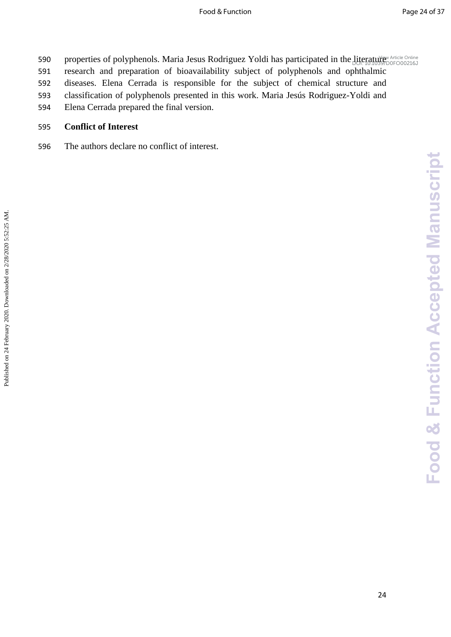- 590 properties of polyphenols. Maria Jesus Rodriguez Yoldi has participated in the literature online
- research and preparation of bioavailability subject of polyphenols and ophthalmic diseases. Elena Cerrada is responsible for the subject of chemical structure and
- classification of polyphenols presented in this work. Maria Jesús Rodriguez-Yoldi and
- Elena Cerrada prepared the final version.

## **Conflict of Interest**

The authors declare no conflict of interest.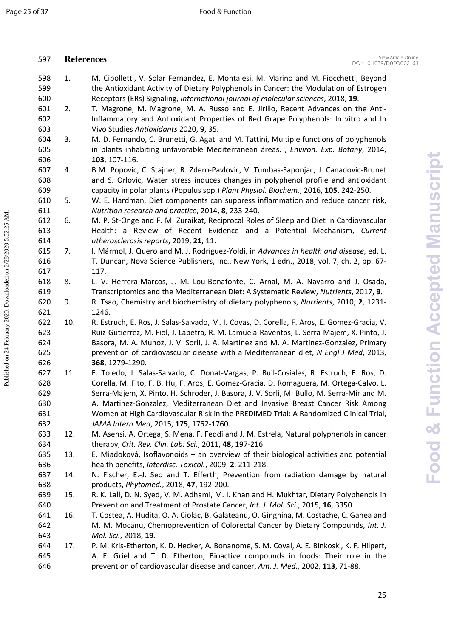## 597 **References**

- 598 1. M. Cipolletti, V. Solar Fernandez, E. Montalesi, M. Marino and M. Fiocchetti, Beyond 599 the Antioxidant Activity of Dietary Polyphenols in Cancer: the Modulation of Estrogen 600 Receptors (ERs) Signaling, *International journal of molecular sciences*, 2018, **19**.
- 601 2. T. Magrone, M. Magrone, M. A. Russo and E. Jirillo, Recent Advances on the Anti-602 Inflammatory and Antioxidant Properties of Red Grape Polyphenols: In vitro and In 603 Vivo Studies *Antioxidants* 2020, **9**, 35.
- 604 3. M. D. Fernando, C. Brunetti, G. Agati and M. Tattini, Multiple functions of polyphenols 605 in plants inhabiting unfavorable Mediterranean áreas. , *Environ. Exp. Botany*, 2014, 606 **103**, 107-116.
- 607 4. B.M. Popovic, C. Stajner, R. Zdero-Pavlovic, V. Tumbas-Saponjac, J. Canadovic-Brunet 608 and S. Orlovic, Water stress induces changes in polyphenol profile and antioxidant 609 capacity in polar plants (Populus spp.) *Plant Physiol. Biochem.*, 2016, **105**, 242-250.
- 610 5. W. E. Hardman, Diet components can suppress inflammation and reduce cancer risk, 611 *Nutrition research and practice*, 2014, **8**, 233-240.
- 612 6. M. P. St-Onge and F. M. Zuraikat, Reciprocal Roles of Sleep and Diet in Cardiovascular 613 Health: a Review of Recent Evidence and a Potential Mechanism, *Current*  614 *atherosclerosis reports*, 2019, **21**, 11.
- 615 7. I. Mármol, J. Quero and M. J. Rodríguez-Yoldi, in *Advances in health and disease*, ed. L. 616 T. Duncan, Nova Science Publishers, Inc., New York, 1 edn., 2018, vol. 7, ch. 2, pp. 67- 617 117.
- 618 8. L. V. Herrera-Marcos, J. M. Lou-Bonafonte, C. Arnal, M. A. Navarro and J. Osada, 619 Transcriptomics and the Mediterranean Diet: A Systematic Review, *Nutrients*, 2017, **9**.
- 620 9. R. Tsao, Chemistry and biochemistry of dietary polyphenols, *Nutrients*, 2010, **2**, 1231- 621 1246.
- 622 10. R. Estruch, E. Ros, J. Salas-Salvado, M. I. Covas, D. Corella, F. Aros, E. Gomez-Gracia, V. 623 Ruiz-Gutierrez, M. Fiol, J. Lapetra, R. M. Lamuela-Raventos, L. Serra-Majem, X. Pinto, J. 624 Basora, M. A. Munoz, J. V. Sorli, J. A. Martinez and M. A. Martinez-Gonzalez, Primary 625 prevention of cardiovascular disease with a Mediterranean diet, *N Engl J Med*, 2013, 626 **368**, 1279-1290.
- 627 11. E. Toledo, J. Salas-Salvado, C. Donat-Vargas, P. Buil-Cosiales, R. Estruch, E. Ros, D. 628 Corella, M. Fito, F. B. Hu, F. Aros, E. Gomez-Gracia, D. Romaguera, M. Ortega-Calvo, L. 629 Serra-Majem, X. Pinto, H. Schroder, J. Basora, J. V. Sorli, M. Bullo, M. Serra-Mir and M. 630 A. Martinez-Gonzalez, Mediterranean Diet and Invasive Breast Cancer Risk Among 631 Women at High Cardiovascular Risk in the PREDIMED Trial: A Randomized Clinical Trial, 632 *JAMA Intern Med*, 2015, **175**, 1752-1760. **For References Constrained Constrained Constrained Manuscriptics Published on 24 February 10.1039 Backet and Manuscript Published on 21 February 2020. The Manuscript Published on 24 February 2020, 32:25 AM. View Article O** 
	- 633 12. M. Asensi, A. Ortega, S. Mena, F. Feddi and J. M. Estrela, Natural polyphenols in cancer 634 therapy, *Crit. Rev. Clin. Lab. Sci.*, 2011, **48**, 197-216.
	- 635 13. E. Miadoková, Isoflavonoids an overview of their biological activities and potential 636 health benefits, *Interdisc. Toxicol.*, 2009, **2**, 211-218.
	- 637 14. N. Fischer, E.-J. Seo and T. Efferth, Prevention from radiation damage by natural 638 products, *Phytomed.*, 2018, **47**, 192-200.
	- 639 15. R. K. Lall, D. N. Syed, V. M. Adhami, M. I. Khan and H. Mukhtar, Dietary Polyphenols in 640 Prevention and Treatment of Prostate Cancer, *Int. J. Mol. Sci.*, 2015, **16**, 3350.
	- 641 16. T. Costea, A. Hudita, O. A. Ciolac, B. Galateanu, O. Ginghina, M. Costache, C. Ganea and 642 M. M. Mocanu, Chemoprevention of Colorectal Cancer by Dietary Compounds, *Int. J.*  643 *Mol. Sci.*, 2018, **19**.
	- 644 17. P. M. Kris-Etherton, K. D. Hecker, A. Bonanome, S. M. Coval, A. E. Binkoski, K. F. Hilpert, 645 A. E. Griel and T. D. Etherton, Bioactive compounds in foods: Their role in the 646 prevention of cardiovascular disease and cancer, *Am. J. Med.*, 2002, **113**, 71-88.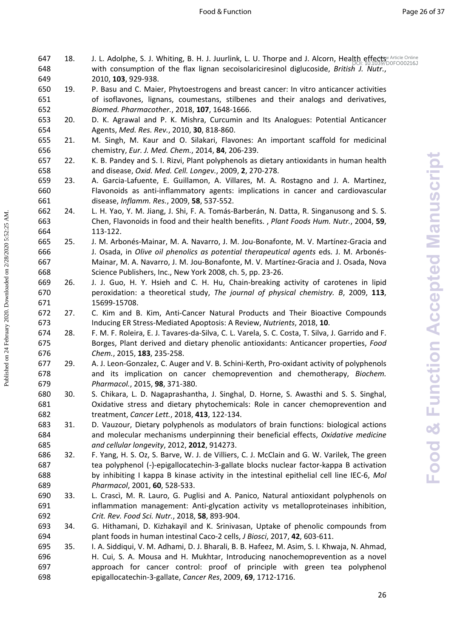- 647 18. J. L. Adolphe, S. J. Whiting, B. H. J. Juurlink, L. U. Thorpe and J. Alcorn, Health effects Article Online 648 with consumption of the flax lignan secoisolariciresinol diglucoside, *British J. Nutr.*, 649 2010, **103**, 929-938.
- 650 19. P. Basu and C. Maier, Phytoestrogens and breast cancer: In vitro anticancer activities 651 of isoflavones, lignans, coumestans, stilbenes and their analogs and derivatives, 652 *Biomed. Pharmacother.*, 2018, **107**, 1648-1666.
- 653 20. D. K. Agrawal and P. K. Mishra, Curcumin and Its Analogues: Potential Anticancer 654 Agents, *Med. Res. Rev.*, 2010, **30**, 818-860.
- 655 21. M. Singh, M. Kaur and O. Silakari, Flavones: An important scaffold for medicinal 656 chemistry, *Eur. J. Med. Chem.*, 2014, **84**, 206-239.
- 657 22. K. B. Pandey and S. I. Rizvi, Plant polyphenols as dietary antioxidants in human health 658 and disease, *Oxid. Med. Cell. Longev.*, 2009, **2**, 270-278.
- 659 23. A. Garcia-Lafuente, E. Guillamon, A. Villares, M. A. Rostagno and J. A. Martinez, 660 Flavonoids as anti-inflammatory agents: implications in cancer and cardiovascular 661 disease, *Inflamm. Res.*, 2009, **58**, 537-552.
- 662 24. L. H. Yao, Y. M. Jiang, J. Shi, F. A. Tomás-Barberán, N. Datta, R. Singanusong and S. S. 663 Chen, Flavonoids in food and their health benefits. , *Plant Foods Hum. Nutr.*, 2004, **59**, 664 113-122.
- 665 25. J. M. Arbonés-Mainar, M. A. Navarro, J. M. Jou-Bonafonte, M. V. Martínez-Gracia and 666 J. Osada, in *Olive oil phenolics as potential therapeutical agents* eds. J. M. Arbonés-667 Mainar, M. A. Navarro, J. M. Jou-Bonafonte, M. V. Martínez-Gracia and J. Osada, Nova 668 Science Publishers, Inc., New York 2008, ch. 5, pp. 23-26. **Food and the state of the state of the state of the state of the state of the state of the state of the state of the state of the state of the state of the state of the state of the state of the state of the state of t** 
	- 669 26. J. J. Guo, H. Y. Hsieh and C. H. Hu, Chain-breaking activity of carotenes in lipid 670 peroxidation: a theoretical study, *The journal of physical chemistry. B*, 2009, **113**, 671 15699-15708.
	- 672 27. C. Kim and B. Kim, Anti-Cancer Natural Products and Their Bioactive Compounds 673 Inducing ER Stress-Mediated Apoptosis: A Review, *Nutrients*, 2018, **10**.
	- 674 28. F. M. F. Roleira, E. J. Tavares-da-Silva, C. L. Varela, S. C. Costa, T. Silva, J. Garrido and F. 675 Borges, Plant derived and dietary phenolic antioxidants: Anticancer properties, *Food*  676 *Chem.*, 2015, **183**, 235-258.
	- 677 29. A. J. Leon-Gonzalez, C. Auger and V. B. Schini-Kerth, Pro-oxidant activity of polyphenols 678 and its implication on cancer chemoprevention and chemotherapy, *Biochem.*  679 *Pharmacol.*, 2015, **98**, 371-380.
	- 680 30. S. Chikara, L. D. Nagaprashantha, J. Singhal, D. Horne, S. Awasthi and S. S. Singhal, 681 Oxidative stress and dietary phytochemicals: Role in cancer chemoprevention and 682 treatment, *Cancer Lett.*, 2018, **413**, 122-134.
	- 683 31. D. Vauzour, Dietary polyphenols as modulators of brain functions: biological actions 684 and molecular mechanisms underpinning their beneficial effects, *Oxidative medicine*  685 *and cellular longevity*, 2012, **2012**, 914273.
	- 686 32. F. Yang, H. S. Oz, S. Barve, W. J. de Villiers, C. J. McClain and G. W. Varilek, The green 687 tea polyphenol (-)-epigallocatechin-3-gallate blocks nuclear factor-kappa B activation 688 by inhibiting I kappa B kinase activity in the intestinal epithelial cell line IEC-6, *Mol*  689 *Pharmacol*, 2001, **60**, 528-533.
	- 690 33. L. Crascì, M. R. Lauro, G. Puglisi and A. Panico, Natural antioxidant polyphenols on 691 inflammation management: Anti-glycation activity vs metalloproteinases inhibition, 692 *Crit. Rev. Food Sci. Nutr.*, 2018, **58**, 893-904.
	- 693 34. G. Hithamani, D. Kizhakayil and K. Srinivasan, Uptake of phenolic compounds from 694 plant foods in human intestinal Caco-2 cells, *J Biosci*, 2017, **42**, 603-611.
	- 695 35. I. A. Siddiqui, V. M. Adhami, D. J. Bharali, B. B. Hafeez, M. Asim, S. I. Khwaja, N. Ahmad, 696 H. Cui, S. A. Mousa and H. Mukhtar, Introducing nanochemoprevention as a novel 697 approach for cancer control: proof of principle with green tea polyphenol 698 epigallocatechin-3-gallate, *Cancer Res*, 2009, **69**, 1712-1716.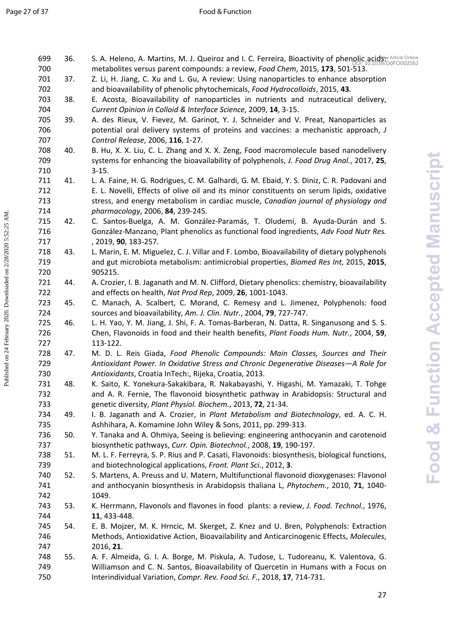|                                                                   | 699        | 36. | S. A. Heleno, A. Martins, M. J. Queiroz and I. C. Ferreira, Bioactivity of phenolic acidism Article Online                                                                 |                          |
|-------------------------------------------------------------------|------------|-----|----------------------------------------------------------------------------------------------------------------------------------------------------------------------------|--------------------------|
|                                                                   | 700        |     | metabolites versus parent compounds: a review, Food Chem, 2015, 173, 501-513.                                                                                              |                          |
|                                                                   | 701        | 37. | Z. Li, H. Jiang, C. Xu and L. Gu, A review: Using nanoparticles to enhance absorption                                                                                      |                          |
|                                                                   | 702        |     | and bioavailability of phenolic phytochemicals, Food Hydrocolloids, 2015, 43.                                                                                              |                          |
|                                                                   | 703        | 38. | E. Acosta, Bioavailability of nanoparticles in nutrients and nutraceutical delivery,                                                                                       |                          |
|                                                                   | 704        |     | Current Opinion in Colloid & Interface Science, 2009, 14, 3-15.                                                                                                            |                          |
|                                                                   | 705<br>706 | 39. | A. des Rieux, V. Fievez, M. Garinot, Y. J. Schneider and V. Preat, Nanoparticles as<br>potential oral delivery systems of proteins and vaccines: a mechanistic approach, J |                          |
|                                                                   | 707        |     | Control Release, 2006, 116, 1-27.                                                                                                                                          |                          |
|                                                                   | 708        | 40. | B. Hu, X. X. Liu, C. L. Zhang and X. X. Zeng, Food macromolecule based nanodelivery                                                                                        |                          |
|                                                                   | 709        |     | systems for enhancing the bioavailability of polyphenols, J. Food Drug Anal., 2017, 25,                                                                                    |                          |
|                                                                   | 710        |     | $3 - 15.$                                                                                                                                                                  |                          |
|                                                                   | 711        | 41. | L. A. Faine, H. G. Rodrigues, C. M. Galhardi, G. M. Ebaid, Y. S. Diniz, C. R. Padovani and                                                                                 | <b>script</b>            |
|                                                                   | 712        |     | E. L. Novelli, Effects of olive oil and its minor constituents on serum lipids, oxidative                                                                                  |                          |
|                                                                   | 713        |     | stress, and energy metabolism in cardiac muscle, Canadian journal of physiology and                                                                                        |                          |
|                                                                   | 714        |     | pharmacology, 2006, 84, 239-245.                                                                                                                                           |                          |
|                                                                   | 715        | 42. | C. Santos-Buelga, A. M. González-Paramás, T. Oludemi, B. Ayuda-Durán and S.                                                                                                |                          |
|                                                                   | 716        |     | González-Manzano, Plant phenolics as functional food ingredients, Adv Food Nutr Res.                                                                                       |                          |
|                                                                   | 717        |     | , 2019, 90, 183-257.                                                                                                                                                       |                          |
|                                                                   | 718        | 43. | L. Marin, E. M. Miguelez, C. J. Villar and F. Lombo, Bioavailability of dietary polyphenols                                                                                |                          |
|                                                                   | 719        |     | and gut microbiota metabolism: antimicrobial properties, Biomed Res Int, 2015, 2015,                                                                                       |                          |
|                                                                   | 720        |     | 905215.                                                                                                                                                                    |                          |
|                                                                   | 721        | 44. | A. Crozier, I. B. Jaganath and M. N. Clifford, Dietary phenolics: chemistry, bioavailability                                                                               |                          |
|                                                                   | 722        |     | and effects on health, Nat Prod Rep, 2009, 26, 1001-1043.                                                                                                                  |                          |
|                                                                   | 723        | 45. | C. Manach, A. Scalbert, C. Morand, C. Remesy and L. Jimenez, Polyphenols: food                                                                                             |                          |
|                                                                   | 724        |     | sources and bioavailability, Am. J. Clin. Nutr., 2004, 79, 727-747.                                                                                                        |                          |
|                                                                   | 725        | 46. | L. H. Yao, Y. M. Jiang, J. Shi, F. A. Tomas-Barberan, N. Datta, R. Singanusong and S. S.                                                                                   |                          |
| Published on 24 February 2020. Downloaded on 2/28/2020 5:52:25 AM | 726        |     | Chen, Flavonoids in food and their health benefits, Plant Foods Hum. Nutr., 2004, 59,                                                                                      | ction Accepted Manus     |
|                                                                   | 727        |     | 113-122.                                                                                                                                                                   |                          |
|                                                                   | 728        | 47. | M. D. L. Reis Giada, Food Phenolic Compounds: Main Classes, Sources and Their                                                                                              |                          |
|                                                                   | 729<br>730 |     | Antioxidant Power. In Oxidative Stress and Chronic Degenerative Diseases-A Role for                                                                                        |                          |
|                                                                   | 731        | 48. | Antioxidants, Croatia InTech:, Rijeka, Croatia, 2013.<br>K. Saito, K. Yonekura-Sakakibara, R. Nakabayashi, Y. Higashi, M. Yamazaki, T. Tohge                               |                          |
|                                                                   | 732        |     | and A. R. Fernie, The flavonoid biosynthetic pathway in Arabidopsis: Structural and                                                                                        | $\overline{\phantom{0}}$ |
|                                                                   | 733        |     | genetic diversity, Plant Physiol. Biochem., 2013, 72, 21-34.                                                                                                               | $\overline{\phantom{0}}$ |
|                                                                   | 734        | 49. | I. B. Jaganath and A. Crozier, in Plant Metabolism and Biotechnology, ed. A. C. H.                                                                                         | ц,                       |
|                                                                   | 735        |     | Ashhihara, A. Komamine John Wiley & Sons, 2011, pp. 299-313.                                                                                                               |                          |
|                                                                   | 736        | 50. | Y. Tanaka and A. Ohmiya, Seeing is believing: engineering anthocyanin and carotenoid                                                                                       | 08                       |
|                                                                   | 737        |     | biosynthetic pathways, Curr. Opin. Biotechnol., 2008, 19, 190-197.                                                                                                         |                          |
|                                                                   | 738        | 51. | M. L. F. Ferreyra, S. P. Rius and P. Casati, Flavonoids: biosynthesis, biological functions,                                                                               | Food                     |
|                                                                   | 739        |     | and biotechnological applications, Front. Plant Sci., 2012, 3.                                                                                                             |                          |
|                                                                   | 740        | 52. | S. Martens, A. Preuss and U. Matern, Multifunctional flavonoid dioxygenases: Flavonol                                                                                      |                          |
|                                                                   | 741        |     | and anthocyanin biosynthesis in Arabidopsis thaliana L, Phytochem., 2010, 71, 1040-                                                                                        |                          |
|                                                                   | 742        |     | 1049.                                                                                                                                                                      |                          |
|                                                                   | 743        | 53. | K. Herrmann, Flavonols and flavones in food plants: a review, J. Food. Technol., 1976,                                                                                     |                          |
|                                                                   | 744        |     | 11, 433-448.                                                                                                                                                               |                          |
|                                                                   | 745        | 54. | E. B. Mojzer, M. K. Hrncic, M. Skerget, Z. Knez and U. Bren, Polyphenols: Extraction                                                                                       |                          |
|                                                                   | 746        |     | Methods, Antioxidative Action, Bioavailability and Anticarcinogenic Effects, Molecules,                                                                                    |                          |
|                                                                   | 747        |     | 2016, 21.                                                                                                                                                                  |                          |
|                                                                   | 748        | 55. | A. F. Almeida, G. I. A. Borge, M. Piskula, A. Tudose, L. Tudoreanu, K. Valentova, G.                                                                                       |                          |
|                                                                   | 749        |     | Williamson and C. N. Santos, Bioavailability of Quercetin in Humans with a Focus on                                                                                        |                          |
|                                                                   | 750        |     | Interindividual Variation, Compr. Rev. Food Sci. F., 2018, 17, 714-731.                                                                                                    |                          |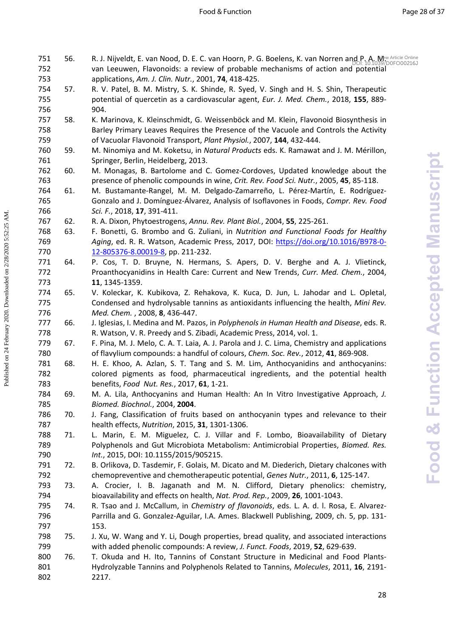- 751 56. R. J. Nijveldt, E. van Nood, D. E. C. van Hoorn, P. G. Boelens, K. van Norren and P. A. Mew Article Online 752 van Leeuwen, Flavonoids: a review of probable mechanisms of action and potential 753 applications, *Am. J. Clin. Nutr.*, 2001, **74**, 418-425.
- 754 57. R. V. Patel, B. M. Mistry, S. K. Shinde, R. Syed, V. Singh and H. S. Shin, Therapeutic 755 potential of quercetin as a cardiovascular agent, *Eur. J. Med. Chem.*, 2018, **155**, 889- 756 904.
- 757 58. K. Marinova, K. Kleinschmidt, G. Weissenböck and M. Klein, Flavonoid Biosynthesis in 758 Barley Primary Leaves Requires the Presence of the Vacuole and Controls the Activity 759 of Vacuolar Flavonoid Transport, *Plant Physiol.*, 2007, **144**, 432-444.
- 760 59. M. Ninomiya and M. Koketsu, in *Natural Products* eds. K. Ramawat and J. M. Mérillon, 761 Springer, Berlin, Heidelberg, 2013.
- 762 60. M. Monagas, B. Bartolome and C. Gomez-Cordoves, Updated knowledge about the 763 presence of phenolic compounds in wine, *Crit. Rev. Food Sci. Nutr.*, 2005, **45**, 85-118.
- 764 61. M. Bustamante-Rangel, M. M. Delgado-Zamarreño, L. Pérez-Martín, E. Rodríguez-765 Gonzalo and J. Domínguez-Álvarez, Analysis of Isoflavones in Foods, *Compr. Rev. Food*  766 *Sci. F.*, 2018, **17**, 391-411.
- 767 62. R. A. Dixon, Phytoestrogens, *Annu. Rev. Plant Biol.*, 2004, **55**, 225-261.
- 768 63. F. Bonetti, G. Brombo and G. Zuliani, in *Nutrition and Functional Foods for Healthy*  769 *Aging*, ed. R. R. Watson, Academic Press, 2017, DOI: [https://doi.org/10.1016/B978-0-](https://doi.org/10.1016/B978-0-12-805376-8.00019-8) 770 [12-805376-8.00019-8,](https://doi.org/10.1016/B978-0-12-805376-8.00019-8) pp. 211-232. **Food Example 10.1** (**Function Accepted Manuscript** Published **Manuscript** Published **Accepted Manuscript Published on 2020 Accepted Conserver Conserver Conserver Conserver Conserver Conserver Conserver Conse** 
	- 771 64. P. Cos, T. D. Bruyne, N. Hermans, S. Apers, D. V. Berghe and A. J. Vlietinck, 772 Proanthocyanidins in Health Care: Current and New Trends, *Curr. Med. Chem.*, 2004, 773 **11**, 1345-1359.
	- 774 65. V. Koleckar, K. Kubikova, Z. Rehakova, K. Kuca, D. Jun, L. Jahodar and L. Opletal, 775 Condensed and hydrolysable tannins as antioxidants influencing the health, *Mini Rev.*  776 *Med. Chem.* , 2008, **8**, 436-447.
	- 777 66. J. Iglesias, I. Medina and M. Pazos, in *Polyphenols in Human Health and Disease*, eds. R. 778 R. Watson, V. R. Preedy and S. Zibadi, Academic Press, 2014, vol. 1.
	- 779 67. F. Pina, M. J. Melo, C. A. T. Laia, A. J. Parola and J. C. Lima, Chemistry and applications 780 of flavylium compounds: a handful of colours, *Chem. Soc. Rev.*, 2012, **41**, 869-908.
	- 781 68. H. E. Khoo, A. Azlan, S. T. Tang and S. M. Lim, Anthocyanidins and anthocyanins: 782 colored pigments as food, pharmaceutical ingredients, and the potential health 783 benefits, *Food Nut. Res.*, 2017, **61**, 1-21.
	- 784 69. M. A. Lila, Anthocyanins and Human Health: An In Vitro Investigative Approach, *J.*  785 *Biomed. Biochnol.*, 2004, **2004**.
	- 786 70. J. Fang, Classification of fruits based on anthocyanin types and relevance to their 787 health effects, *Nutrition*, 2015, **31**, 1301-1306.
	- 788 71. L. Marin, E. M. Miguelez, C. J. Villar and F. Lombo, Bioavailability of Dietary 789 Polyphenols and Gut Microbiota Metabolism: Antimicrobial Properties, *Biomed. Res.*  790 *Int.*, 2015, DOI: 10.1155/2015/905215.
	- 791 72. B. Orlikova, D. Tasdemir, F. Golais, M. Dicato and M. Diederich, Dietary chalcones with 792 chemopreventive and chemotherapeutic potential, *Genes Nutr.*, 2011, **6**, 125-147.
	- 793 73. A. Crocier, I. B. Jaganath and M. N. Clifford, Dietary phenolics: chemistry, 794 bioavailability and effects on health, *Nat. Prod. Rep.*, 2009, **26**, 1001-1043.
	- 795 74. R. Tsao and J. McCallum, in *Chemistry of flavonoids*, eds. L. A. d. l. Rosa, E. Alvarez-796 Parrilla and G. Gonzalez-Aguilar, I.A. Ames. Blackwell Publishing, 2009, ch. 5, pp. 131- 797 153.
	- 798 75. J. Xu, W. Wang and Y. Li, Dough properties, bread quality, and associated interactions 799 with added phenolic compounds: A review, *J. Funct. Foods*, 2019, **52**, 629-639.
	- 800 76. T. Okuda and H. Ito, Tannins of Constant Structure in Medicinal and Food Plants-801 Hydrolyzable Tannins and Polyphenols Related to Tannins, *Molecules*, 2011, **16**, 2191- 802 2217.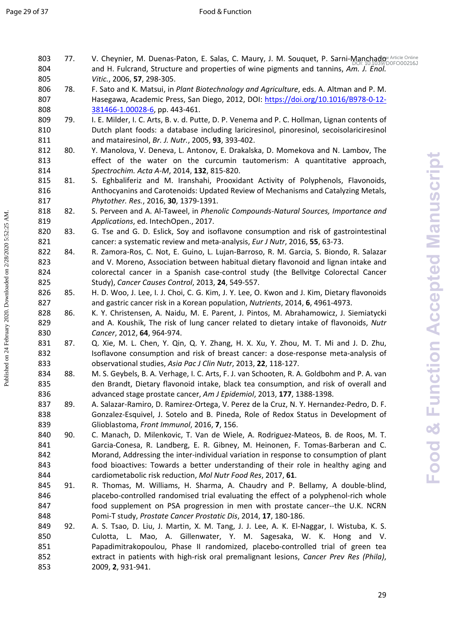805 *Vitic.*, 2006, **57**, 298-305.

803 77. V. Cheynier, M. Duenas-Paton, E. Salas, C. Maury, J. M. Souquet, P. Sarni-Manchadiev Article Online

804 and H. Fulcrand, Structure and properties of wine pigments and tannins, *Am. J. Enol.* 

- 806 78. F. Sato and K. Matsui, in *Plant Biotechnology and Agriculture*, eds. A. Altman and P. M. 807 Hasegawa, Academic Press, San Diego, 2012, DOI: [https://doi.org/10.1016/B978-0-12-](https://doi.org/10.1016/B978-0-12-381466-1.00028-6) 808 [381466-1.00028-6](https://doi.org/10.1016/B978-0-12-381466-1.00028-6), pp. 443-461. 809 79. I. E. Milder, I. C. Arts, B. v. d. Putte, D. P. Venema and P. C. Hollman, Lignan contents of 810 Dutch plant foods: a database including lariciresinol, pinoresinol, secoisolariciresinol 811 and matairesinol, *Br. J. Nutr.*, 2005, **93**, 393-402. 812 80. Y. Manolova, V. Deneva, L. Antonov, E. Drakalska, D. Momekova and N. Lambov, The 813 effect of the water on the curcumin tautomerism: A quantitative approach, 814 *Spectrochim. Acta A-M*, 2014, **132**, 815-820. 815 81. S. Eghbaliferiz and M. Iranshahi, Prooxidant Activity of Polyphenols, Flavonoids, 816 Anthocyanins and Carotenoids: Updated Review of Mechanisms and Catalyzing Metals, 817 *Phytother. Res.*, 2016, **30**, 1379-1391. 818 82. S. Perveen and A. Al-Taweel, in *Phenolic Compounds-Natural Sources, Importance and*  819 *Applications*, ed. IntechOpen., 2017. 820 83. G. Tse and G. D. Eslick, Soy and isoflavone consumption and risk of gastrointestinal 821 cancer: a systematic review and meta-analysis, *Eur J Nutr*, 2016, **55**, 63-73. 822 84. R. Zamora-Ros, C. Not, E. Guino, L. Lujan-Barroso, R. M. Garcia, S. Biondo, R. Salazar 823 and V. Moreno, Association between habitual dietary flavonoid and lignan intake and 824 colorectal cancer in a Spanish case-control study (the Bellvitge Colorectal Cancer 825 Study), *Cancer Causes Control*, 2013, **24**, 549-557. 826 85. H. D. Woo, J. Lee, I. J. Choi, C. G. Kim, J. Y. Lee, O. Kwon and J. Kim, Dietary flavonoids 827 and gastric cancer risk in a Korean population, *Nutrients*, 2014, **6**, 4961-4973. 828 86. K. Y. Christensen, A. Naidu, M. E. Parent, J. Pintos, M. Abrahamowicz, J. Siemiatycki 829 and A. Koushik, The risk of lung cancer related to dietary intake of flavonoids, *Nutr*  830 *Cancer*, 2012, **64**, 964-974. 831 87. Q. Xie, M. L. Chen, Y. Qin, Q. Y. Zhang, H. X. Xu, Y. Zhou, M. T. Mi and J. D. Zhu, 832 Isoflavone consumption and risk of breast cancer: a dose-response meta-analysis of 833 observational studies, *Asia Pac J Clin Nutr*, 2013, **22**, 118-127. 834 88. M. S. Geybels, B. A. Verhage, I. C. Arts, F. J. van Schooten, R. A. Goldbohm and P. A. van 835 den Brandt, Dietary flavonoid intake, black tea consumption, and risk of overall and 836 advanced stage prostate cancer, *Am J Epidemiol*, 2013, **177**, 1388-1398. 837 89. A. Salazar-Ramiro, D. Ramirez-Ortega, V. Perez de la Cruz, N. Y. Hernandez-Pedro, D. F. 838 Gonzalez-Esquivel, J. Sotelo and B. Pineda, Role of Redox Status in Development of 839 Glioblastoma, *Front Immunol*, 2016, **7**, 156. 840 90. C. Manach, D. Milenkovic, T. Van de Wiele, A. Rodriguez-Mateos, B. de Roos, M. T. 841 Garcia-Conesa, R. Landberg, E. R. Gibney, M. Heinonen, F. Tomas-Barberan and C. 842 Morand, Addressing the inter-individual variation in response to consumption of plant 843 food bioactives: Towards a better understanding of their role in healthy aging and 844 cardiometabolic risk reduction, *Mol Nutr Food Res*, 2017, **61**. 845 91. R. Thomas, M. Williams, H. Sharma, A. Chaudry and P. Bellamy, A double-blind, 846 placebo-controlled randomised trial evaluating the effect of a polyphenol-rich whole 847 food supplement on PSA progression in men with prostate cancer--the U.K. NCRN 848 Pomi-T study, *Prostate Cancer Prostatic Dis*, 2014, **17**, 180-186. 849 92. A. S. Tsao, D. Liu, J. Martin, X. M. Tang, J. J. Lee, A. K. El-Naggar, I. Wistuba, K. S. **Food and the state in Published on 2/28/2020**<br> **Bood and H. Kucinan, State Hourse, Donald Agriculture**, 10.52:101 Hourse, 10.52, 10.1039/2020 and Agriculture Res. A Manuscription<br> **Function** *Functional Published on 24* 
	- 850 Culotta, L. Mao, A. Gillenwater, Y. M. Sagesaka, W. K. Hong and V. 851 Papadimitrakopoulou, Phase II randomized, placebo-controlled trial of green tea 852 extract in patients with high-risk oral premalignant lesions, *Cancer Prev Res (Phila)*, 853 2009, **2**, 931-941.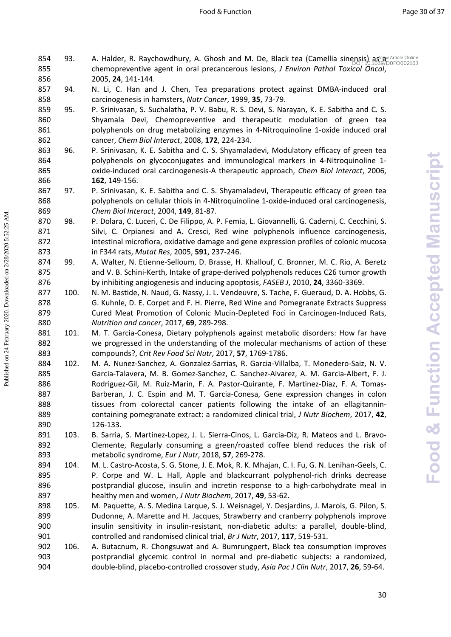- 854 93. A. Halder, R. Raychowdhury, A. Ghosh and M. De, Black tea (Camellia sinensis) as a solial online 855 chemopreventive agent in oral precancerous lesions, *J Environ Pathol Toxicol Oncol*, 856 2005, **24**, 141-144.
- 857 94. N. Li, C. Han and J. Chen, Tea preparations protect against DMBA-induced oral 858 carcinogenesis in hamsters, *Nutr Cancer*, 1999, **35**, 73-79.
- 859 95. P. Srinivasan, S. Suchalatha, P. V. Babu, R. S. Devi, S. Narayan, K. E. Sabitha and C. S. 860 Shyamala Devi, Chemopreventive and therapeutic modulation of green tea 861 polyphenols on drug metabolizing enzymes in 4-Nitroquinoline 1-oxide induced oral 862 cancer, *Chem Biol Interact*, 2008, **172**, 224-234.
- 863 96. P. Srinivasan, K. E. Sabitha and C. S. Shyamaladevi, Modulatory efficacy of green tea 864 polyphenols on glycoconjugates and immunological markers in 4-Nitroquinoline 1- 865 oxide-induced oral carcinogenesis-A therapeutic approach, *Chem Biol Interact*, 2006, 866 **162**, 149-156.
- 867 97. P. Srinivasan, K. E. Sabitha and C. S. Shyamaladevi, Therapeutic efficacy of green tea 868 polyphenols on cellular thiols in 4-Nitroquinoline 1-oxide-induced oral carcinogenesis, 869 *Chem Biol Interact*, 2004, **149**, 81-87.
- 870 98. P. Dolara, C. Luceri, C. De Filippo, A. P. Femia, L. Giovannelli, G. Caderni, C. Cecchini, S. 871 Silvi, C. Orpianesi and A. Cresci, Red wine polyphenols influence carcinogenesis, 872 intestinal microflora, oxidative damage and gene expression profiles of colonic mucosa 873 in F344 rats, *Mutat Res*, 2005, **591**, 237-246.
- 874 99. A. Walter, N. Etienne-Selloum, D. Brasse, H. Khallouf, C. Bronner, M. C. Rio, A. Beretz 875 and V. B. Schini-Kerth, Intake of grape-derived polyphenols reduces C26 tumor growth 876 by inhibiting angiogenesis and inducing apoptosis, *FASEB J*, 2010, **24**, 3360-3369.
- 877 100. N. M. Bastide, N. Naud, G. Nassy, J. L. Vendeuvre, S. Tache, F. Gueraud, D. A. Hobbs, G. 878 G. Kuhnle, D. E. Corpet and F. H. Pierre, Red Wine and Pomegranate Extracts Suppress 879 Cured Meat Promotion of Colonic Mucin-Depleted Foci in Carcinogen-Induced Rats, 880 *Nutrition and cancer*, 2017, **69**, 289-298.
- 881 101. M. T. Garcia-Conesa, Dietary polyphenols against metabolic disorders: How far have 882 we progressed in the understanding of the molecular mechanisms of action of these 883 compounds?, *Crit Rev Food Sci Nutr*, 2017, **57**, 1769-1786.
- 884 102. M. A. Nunez-Sanchez, A. Gonzalez-Sarrias, R. Garcia-Villalba, T. Monedero-Saiz, N. V. 885 Garcia-Talavera, M. B. Gomez-Sanchez, C. Sanchez-Alvarez, A. M. Garcia-Albert, F. J. 886 Rodriguez-Gil, M. Ruiz-Marin, F. A. Pastor-Quirante, F. Martinez-Diaz, F. A. Tomas-887 Barberan, J. C. Espin and M. T. Garcia-Conesa, Gene expression changes in colon 888 tissues from colorectal cancer patients following the intake of an ellagitannin-889 containing pomegranate extract: a randomized clinical trial, *J Nutr Biochem*, 2017, **42**, 890 126-133. **Food Constrained in the state of the state of the State Constrained induced on 24 February 2020. A Historic Historic Published on 24 February 2020. <b>Published on 2020 Constrained Constrained Constrained Constrained** 
	- 891 103. B. Sarria, S. Martinez-Lopez, J. L. Sierra-Cinos, L. Garcia-Diz, R. Mateos and L. Bravo-892 Clemente, Regularly consuming a green/roasted coffee blend reduces the risk of 893 metabolic syndrome, *Eur J Nutr*, 2018, **57**, 269-278.
	- 894 104. M. L. Castro-Acosta, S. G. Stone, J. E. Mok, R. K. Mhajan, C. I. Fu, G. N. Lenihan-Geels, C. 895 P. Corpe and W. L. Hall, Apple and blackcurrant polyphenol-rich drinks decrease 896 postprandial glucose, insulin and incretin response to a high-carbohydrate meal in 897 healthy men and women, *J Nutr Biochem*, 2017, **49**, 53-62.
	- 898 105. M. Paquette, A. S. Medina Larque, S. J. Weisnagel, Y. Desjardins, J. Marois, G. Pilon, S. 899 Dudonne, A. Marette and H. Jacques, Strawberry and cranberry polyphenols improve 900 insulin sensitivity in insulin-resistant, non-diabetic adults: a parallel, double-blind, 901 controlled and randomised clinical trial, *Br J Nutr*, 2017, **117**, 519-531.
	- 902 106. A. Butacnum, R. Chongsuwat and A. Bumrungpert, Black tea consumption improves 903 postprandial glycemic control in normal and pre-diabetic subjects: a randomized, 904 double-blind, placebo-controlled crossover study, *Asia Pac J Clin Nutr*, 2017, **26**, 59-64.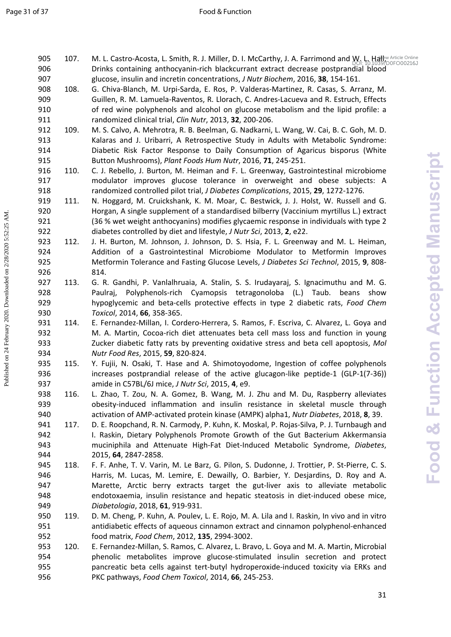#### Page 31 of 37 Food & Function

- 905 107. M. L. Castro-Acosta, L. Smith, R. J. Miller, D. I. McCarthy, J. A. Farrimond and W. L. Hallew Article Online 906 Drinks containing anthocyanin-rich blackcurrant extract decrease postprandial blood 907 glucose, insulin and incretin concentrations, *J Nutr Biochem*, 2016, **38**, 154-161.
- 908 108. G. Chiva-Blanch, M. Urpi-Sarda, E. Ros, P. Valderas-Martinez, R. Casas, S. Arranz, M. 909 Guillen, R. M. Lamuela-Raventos, R. Llorach, C. Andres-Lacueva and R. Estruch, Effects 910 of red wine polyphenols and alcohol on glucose metabolism and the lipid profile: a 911 randomized clinical trial, *Clin Nutr*, 2013, **32**, 200-206. **Food Booth Coordings Controlled on 2/28/2020**<br> **Booth Coording anthospheric the Section of the Section of the Section of 2/28/2020.<br>
<b>Booth Coording Published on 2020. Coording Published on 2020**<br> **Coording Publishe** 
	- 912 109. M. S. Calvo, A. Mehrotra, R. B. Beelman, G. Nadkarni, L. Wang, W. Cai, B. C. Goh, M. D. 913 Kalaras and J. Uribarri, A Retrospective Study in Adults with Metabolic Syndrome: 914 Diabetic Risk Factor Response to Daily Consumption of Agaricus bisporus (White 915 Button Mushrooms), *Plant Foods Hum Nutr*, 2016, **71**, 245-251.
	- 916 110. C. J. Rebello, J. Burton, M. Heiman and F. L. Greenway, Gastrointestinal microbiome 917 modulator improves glucose tolerance in overweight and obese subjects: A 918 randomized controlled pilot trial, *J Diabetes Complications*, 2015, **29**, 1272-1276.
	- 919 111. N. Hoggard, M. Cruickshank, K. M. Moar, C. Bestwick, J. J. Holst, W. Russell and G. 920 Horgan, A single supplement of a standardised bilberry (Vaccinium myrtillus L.) extract 921 (36 % wet weight anthocyanins) modifies glycaemic response in individuals with type 2 922 diabetes controlled by diet and lifestyle, *J Nutr Sci*, 2013, **2**, e22.
	- 923 112. J. H. Burton, M. Johnson, J. Johnson, D. S. Hsia, F. L. Greenway and M. L. Heiman, 924 Addition of a Gastrointestinal Microbiome Modulator to Metformin Improves 925 Metformin Tolerance and Fasting Glucose Levels, *J Diabetes Sci Technol*, 2015, **9**, 808- 926 814.
	- 927 113. G. R. Gandhi, P. Vanlalhruaia, A. Stalin, S. S. Irudayaraj, S. Ignacimuthu and M. G. 928 Paulraj, Polyphenols-rich Cyamopsis tetragonoloba (L.) Taub. beans show 929 hypoglycemic and beta-cells protective effects in type 2 diabetic rats, *Food Chem*  930 *Toxicol*, 2014, **66**, 358-365.
	- 931 114. E. Fernandez-Millan, I. Cordero-Herrera, S. Ramos, F. Escriva, C. Alvarez, L. Goya and 932 M. A. Martin, Cocoa-rich diet attenuates beta cell mass loss and function in young 933 Zucker diabetic fatty rats by preventing oxidative stress and beta cell apoptosis, *Mol*  934 *Nutr Food Res*, 2015, **59**, 820-824.
	- 935 115. Y. Fujii, N. Osaki, T. Hase and A. Shimotoyodome, Ingestion of coffee polyphenols 936 increases postprandial release of the active glucagon-like peptide-1 (GLP-1(7-36)) 937 amide in C57BL/6J mice, *J Nutr Sci*, 2015, **4**, e9.
	- 938 116. L. Zhao, T. Zou, N. A. Gomez, B. Wang, M. J. Zhu and M. Du, Raspberry alleviates 939 obesity-induced inflammation and insulin resistance in skeletal muscle through 940 activation of AMP-activated protein kinase (AMPK) alpha1, *Nutr Diabetes*, 2018, **8**, 39.
	- 941 117. D. E. Roopchand, R. N. Carmody, P. Kuhn, K. Moskal, P. Rojas-Silva, P. J. Turnbaugh and 942 I. Raskin, Dietary Polyphenols Promote Growth of the Gut Bacterium Akkermansia 943 muciniphila and Attenuate High-Fat Diet-Induced Metabolic Syndrome, *Diabetes*, 944 2015, **64**, 2847-2858.
	- 945 118. F. F. Anhe, T. V. Varin, M. Le Barz, G. Pilon, S. Dudonne, J. Trottier, P. St-Pierre, C. S. 946 Harris, M. Lucas, M. Lemire, E. Dewailly, O. Barbier, Y. Desjardins, D. Roy and A. 947 Marette, Arctic berry extracts target the gut-liver axis to alleviate metabolic 948 endotoxaemia, insulin resistance and hepatic steatosis in diet-induced obese mice, 949 *Diabetologia*, 2018, **61**, 919-931.
	- 950 119. D. M. Cheng, P. Kuhn, A. Poulev, L. E. Rojo, M. A. Lila and I. Raskin, In vivo and in vitro 951 antidiabetic effects of aqueous cinnamon extract and cinnamon polyphenol-enhanced 952 food matrix, *Food Chem*, 2012, **135**, 2994-3002.
	- 953 120. E. Fernandez-Millan, S. Ramos, C. Alvarez, L. Bravo, L. Goya and M. A. Martin, Microbial 954 phenolic metabolites improve glucose-stimulated insulin secretion and protect 955 pancreatic beta cells against tert-butyl hydroperoxide-induced toxicity via ERKs and 956 PKC pathways, *Food Chem Toxicol*, 2014, **66**, 245-253.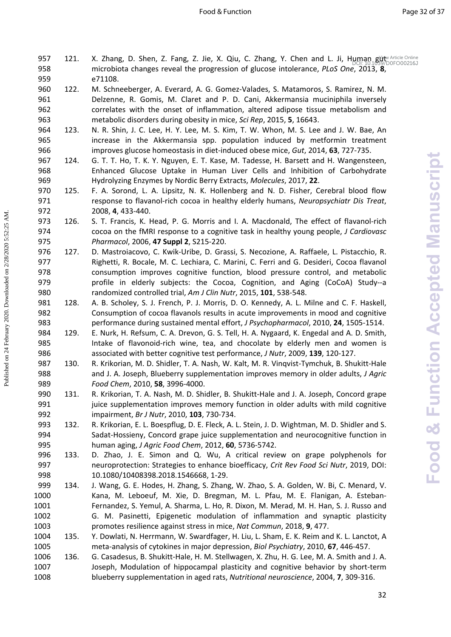- 957 121. X. Zhang, D. Shen, Z. Fang, Z. Jie, X. Qiu, C. Zhang, Y. Chen and L. Ji, Human gut v Article Online 958 microbiota changes reveal the progression of glucose intolerance, *PLoS One*, 2013, **8**, 959 e71108.
- 960 122. M. Schneeberger, A. Everard, A. G. Gomez-Valades, S. Matamoros, S. Ramirez, N. M. 961 Delzenne, R. Gomis, M. Claret and P. D. Cani, Akkermansia muciniphila inversely 962 correlates with the onset of inflammation, altered adipose tissue metabolism and 963 metabolic disorders during obesity in mice, *Sci Rep*, 2015, **5**, 16643.
- 964 123. N. R. Shin, J. C. Lee, H. Y. Lee, M. S. Kim, T. W. Whon, M. S. Lee and J. W. Bae, An 965 increase in the Akkermansia spp. population induced by metformin treatment 966 improves glucose homeostasis in diet-induced obese mice, *Gut*, 2014, **63**, 727-735.
- 967 124. G. T. T. Ho, T. K. Y. Nguyen, E. T. Kase, M. Tadesse, H. Barsett and H. Wangensteen, 968 Enhanced Glucose Uptake in Human Liver Cells and Inhibition of Carbohydrate 969 Hydrolyzing Enzymes by Nordic Berry Extracts, *Molecules*, 2017, **22**.
- 970 125. F. A. Sorond, L. A. Lipsitz, N. K. Hollenberg and N. D. Fisher, Cerebral blood flow 971 response to flavanol-rich cocoa in healthy elderly humans, *Neuropsychiatr Dis Treat*, 972 2008, **4**, 433-440.
- 973 126. S. T. Francis, K. Head, P. G. Morris and I. A. Macdonald, The effect of flavanol-rich 974 cocoa on the fMRI response to a cognitive task in healthy young people, *J Cardiovasc*  975 *Pharmacol*, 2006, **47 Suppl 2**, S215-220.
- 976 127. D. Mastroiacovo, C. Kwik-Uribe, D. Grassi, S. Necozione, A. Raffaele, L. Pistacchio, R. 977 Righetti, R. Bocale, M. C. Lechiara, C. Marini, C. Ferri and G. Desideri, Cocoa flavanol 978 consumption improves cognitive function, blood pressure control, and metabolic 979 profile in elderly subjects: the Cocoa, Cognition, and Aging (CoCoA) Study--a 980 randomized controlled trial, *Am J Clin Nutr*, 2015, **101**, 538-548. **Food 1220. Function Accepted on 24 Account Content and B**, **Burges 2020**<br> **Food 122 Concepted on 24 February 2020**<br> **Food 122 Concepted on 24 February 2020**<br> **Food 122 Concepted on 24 February 2020**<br> **Food 1** 
	- 981 128. A. B. Scholey, S. J. French, P. J. Morris, D. O. Kennedy, A. L. Milne and C. F. Haskell, 982 Consumption of cocoa flavanols results in acute improvements in mood and cognitive 983 performance during sustained mental effort, *J Psychopharmacol*, 2010, **24**, 1505-1514.
	- 984 129. E. Nurk, H. Refsum, C. A. Drevon, G. S. Tell, H. A. Nygaard, K. Engedal and A. D. Smith, 985 Intake of flavonoid-rich wine, tea, and chocolate by elderly men and women is 986 associated with better cognitive test performance, *J Nutr*, 2009, **139**, 120-127.
	- 987 130. R. Krikorian, M. D. Shidler, T. A. Nash, W. Kalt, M. R. Vinqvist-Tymchuk, B. Shukitt-Hale 988 and J. A. Joseph, Blueberry supplementation improves memory in older adults, *J Agric*  989 *Food Chem*, 2010, **58**, 3996-4000.
	- 990 131. R. Krikorian, T. A. Nash, M. D. Shidler, B. Shukitt-Hale and J. A. Joseph, Concord grape 991 juice supplementation improves memory function in older adults with mild cognitive 992 impairment, *Br J Nutr*, 2010, **103**, 730-734.
	- 993 132. R. Krikorian, E. L. Boespflug, D. E. Fleck, A. L. Stein, J. D. Wightman, M. D. Shidler and S. 994 Sadat-Hossieny, Concord grape juice supplementation and neurocognitive function in 995 human aging, *J Agric Food Chem*, 2012, **60**, 5736-5742.
	- 996 133. D. Zhao, J. E. Simon and Q. Wu, A critical review on grape polyphenols for 997 neuroprotection: Strategies to enhance bioefficacy, *Crit Rev Food Sci Nutr*, 2019, DOI: 998 10.1080/10408398.2018.1546668, 1-29.
	- 999 134. J. Wang, G. E. Hodes, H. Zhang, S. Zhang, W. Zhao, S. A. Golden, W. Bi, C. Menard, V. 1000 Kana, M. Leboeuf, M. Xie, D. Bregman, M. L. Pfau, M. E. Flanigan, A. Esteban-1001 Fernandez, S. Yemul, A. Sharma, L. Ho, R. Dixon, M. Merad, M. H. Han, S. J. Russo and 1002 G. M. Pasinetti, Epigenetic modulation of inflammation and synaptic plasticity 1003 promotes resilience against stress in mice, *Nat Commun*, 2018, **9**, 477.
	- 1004 135. Y. Dowlati, N. Herrmann, W. Swardfager, H. Liu, L. Sham, E. K. Reim and K. L. Lanctot, A 1005 meta-analysis of cytokines in major depression, *Biol Psychiatry*, 2010, **67**, 446-457.
	- 1006 136. G. Casadesus, B. Shukitt-Hale, H. M. Stellwagen, X. Zhu, H. G. Lee, M. A. Smith and J. A. 1007 Joseph, Modulation of hippocampal plasticity and cognitive behavior by short-term 1008 blueberry supplementation in aged rats, *Nutritional neuroscience*, 2004, **7**, 309-316.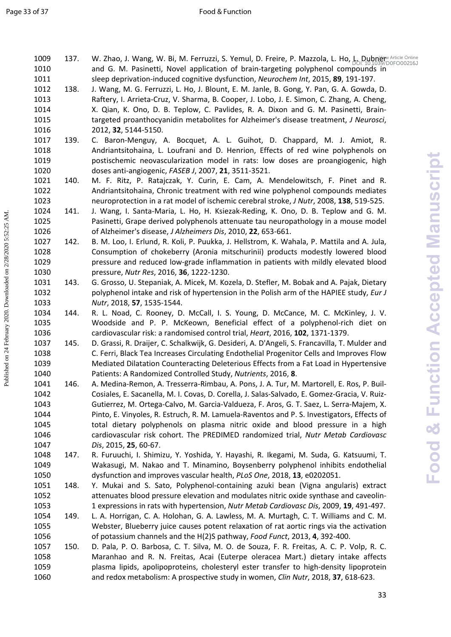## Page 33 of 37 Food & Function

|                                                                   | 1009 | 137. | W. Zhao, J. Wang, W. Bi, M. Ferruzzi, S. Yemul, D. Freire, P. Mazzola, L. Ho, L. Dubnéaw Article Online |                            |
|-------------------------------------------------------------------|------|------|---------------------------------------------------------------------------------------------------------|----------------------------|
|                                                                   | 1010 |      | and G. M. Pasinetti, Novel application of brain-targeting polyphenol compounds in                       |                            |
|                                                                   | 1011 |      | sleep deprivation-induced cognitive dysfunction, Neurochem Int, 2015, 89, 191-197.                      |                            |
|                                                                   | 1012 | 138. | J. Wang, M. G. Ferruzzi, L. Ho, J. Blount, E. M. Janle, B. Gong, Y. Pan, G. A. Gowda, D.                |                            |
|                                                                   | 1013 |      | Raftery, I. Arrieta-Cruz, V. Sharma, B. Cooper, J. Lobo, J. E. Simon, C. Zhang, A. Cheng,               |                            |
|                                                                   | 1014 |      | X. Qian, K. Ono, D. B. Teplow, C. Pavlides, R. A. Dixon and G. M. Pasinetti, Brain-                     |                            |
|                                                                   | 1015 |      | targeted proanthocyanidin metabolites for Alzheimer's disease treatment, J Neurosci,                    |                            |
|                                                                   | 1016 |      | 2012, 32, 5144-5150.                                                                                    |                            |
|                                                                   | 1017 | 139. | C. Baron-Menguy, A. Bocquet, A. L. Guihot, D. Chappard, M. J. Amiot, R.                                 |                            |
|                                                                   | 1018 |      | Andriantsitohaina, L. Loufrani and D. Henrion, Effects of red wine polyphenols on                       |                            |
|                                                                   | 1019 |      | postischemic neovascularization model in rats: low doses are proangiogenic, high                        |                            |
|                                                                   | 1020 |      | doses anti-angiogenic, FASEB J, 2007, 21, 3511-3521.                                                    |                            |
|                                                                   | 1021 | 140. | M. F. Ritz, P. Ratajczak, Y. Curin, E. Cam, A. Mendelowitsch, F. Pinet and R.                           |                            |
|                                                                   | 1022 |      | Andriantsitohaina, Chronic treatment with red wine polyphenol compounds mediates                        |                            |
|                                                                   | 1023 |      | neuroprotection in a rat model of ischemic cerebral stroke, J Nutr, 2008, 138, 519-525.                 |                            |
|                                                                   | 1024 | 141. | J. Wang, I. Santa-Maria, L. Ho, H. Ksiezak-Reding, K. Ono, D. B. Teplow and G. M.                       |                            |
|                                                                   | 1025 |      | Pasinetti, Grape derived polyphenols attenuate tau neuropathology in a mouse model                      |                            |
|                                                                   | 1026 |      | of Alzheimer's disease, J Alzheimers Dis, 2010, 22, 653-661.                                            |                            |
|                                                                   | 1027 | 142. | B. M. Loo, I. Erlund, R. Koli, P. Puukka, J. Hellstrom, K. Wahala, P. Mattila and A. Jula,              |                            |
|                                                                   | 1028 |      | Consumption of chokeberry (Aronia mitschurinii) products modestly lowered blood                         |                            |
|                                                                   | 1029 |      | pressure and reduced low-grade inflammation in patients with mildly elevated blood                      |                            |
|                                                                   | 1030 |      | pressure, Nutr Res, 2016, 36, 1222-1230.                                                                |                            |
| Published on 24 February 2020. Downloaded on 2/28/2020 5:52:25 AM | 1031 | 143. | G. Grosso, U. Stepaniak, A. Micek, M. Kozela, D. Stefler, M. Bobak and A. Pajak, Dietary                | nction Accepted Manuscript |
|                                                                   | 1032 |      | polyphenol intake and risk of hypertension in the Polish arm of the HAPIEE study, Eur J                 |                            |
|                                                                   | 1033 |      | Nutr, 2018, 57, 1535-1544.                                                                              |                            |
|                                                                   | 1034 | 144. | R. L. Noad, C. Rooney, D. McCall, I. S. Young, D. McCance, M. C. McKinley, J. V.                        |                            |
|                                                                   | 1035 |      | Woodside and P. P. McKeown, Beneficial effect of a polyphenol-rich diet on                              |                            |
|                                                                   | 1036 |      | cardiovascular risk: a randomised control trial, Heart, 2016, 102, 1371-1379.                           |                            |
|                                                                   | 1037 | 145. | D. Grassi, R. Draijer, C. Schalkwijk, G. Desideri, A. D'Angeli, S. Francavilla, T. Mulder and           |                            |
|                                                                   | 1038 |      | C. Ferri, Black Tea Increases Circulating Endothelial Progenitor Cells and Improves Flow                |                            |
|                                                                   | 1039 |      | Mediated Dilatation Counteracting Deleterious Effects from a Fat Load in Hypertensive                   |                            |
|                                                                   | 1040 |      | Patients: A Randomized Controlled Study, Nutrients, 2016, 8.                                            |                            |
|                                                                   | 1041 | 146. | A. Medina-Remon, A. Tresserra-Rimbau, A. Pons, J. A. Tur, M. Martorell, E. Ros, P. Buil-                |                            |
|                                                                   | 1042 |      | Cosiales, E. Sacanella, M. I. Covas, D. Corella, J. Salas-Salvado, E. Gomez-Gracia, V. Ruiz-            |                            |
|                                                                   | 1043 |      | Gutierrez, M. Ortega-Calvo, M. Garcia-Valdueza, F. Aros, G. T. Saez, L. Serra-Majem, X.                 | $\overline{\phantom{0}}$   |
|                                                                   | 1044 |      | Pinto, E. Vinyoles, R. Estruch, R. M. Lamuela-Raventos and P. S. Investigators, Effects of              | ட                          |
|                                                                   | 1045 |      | total dietary polyphenols on plasma nitric oxide and blood pressure in a high                           | 8                          |
|                                                                   | 1046 |      | cardiovascular risk cohort. The PREDIMED randomized trial, Nutr Metab Cardiovasc                        |                            |
|                                                                   | 1047 |      | Dis, 2015, 25, 60-67.                                                                                   | Food                       |
|                                                                   | 1048 | 147. | R. Furuuchi, I. Shimizu, Y. Yoshida, Y. Hayashi, R. Ikegami, M. Suda, G. Katsuumi, T.                   |                            |
|                                                                   | 1049 |      | Wakasugi, M. Nakao and T. Minamino, Boysenberry polyphenol inhibits endothelial                         |                            |
|                                                                   | 1050 |      | dysfunction and improves vascular health, PLoS One, 2018, 13, e0202051.                                 |                            |
|                                                                   | 1051 | 148. | Y. Mukai and S. Sato, Polyphenol-containing azuki bean (Vigna angularis) extract                        |                            |
|                                                                   | 1052 |      | attenuates blood pressure elevation and modulates nitric oxide synthase and caveolin-                   |                            |
|                                                                   | 1053 |      | 1 expressions in rats with hypertension, Nutr Metab Cardiovasc Dis, 2009, 19, 491-497.                  |                            |
|                                                                   | 1054 | 149. | L. A. Horrigan, C. A. Holohan, G. A. Lawless, M. A. Murtagh, C. T. Williams and C. M.                   |                            |
|                                                                   | 1055 |      | Webster, Blueberry juice causes potent relaxation of rat aortic rings via the activation                |                            |
|                                                                   | 1056 |      | of potassium channels and the H(2)S pathway, Food Funct, 2013, 4, 392-400.                              |                            |
|                                                                   | 1057 | 150. | D. Pala, P. O. Barbosa, C. T. Silva, M. O. de Souza, F. R. Freitas, A. C. P. Volp, R. C.                |                            |
|                                                                   | 1058 |      | Maranhao and R. N. Freitas, Acai (Euterpe oleracea Mart.) dietary intake affects                        |                            |
|                                                                   | 1059 |      | plasma lipids, apolipoproteins, cholesteryl ester transfer to high-density lipoprotein                  |                            |
|                                                                   | 1060 |      | and redox metabolism: A prospective study in women, Clin Nutr, 2018, 37, 618-623.                       |                            |
|                                                                   |      |      |                                                                                                         |                            |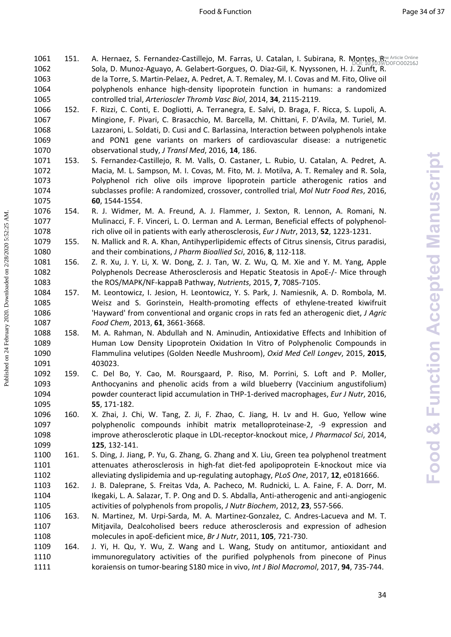- 1061 151. A. Hernaez, S. Fernandez-Castillejo, M. Farras, U. Catalan, I. Subirana, R. Montes, Rew Article Online 1062 Sola, D. Munoz-Aguayo, A. Gelabert-Gorgues, O. Diaz-Gil, K. Nyyssonen, H. J. Zunft, R.
- 1063 de la Torre, S. Martin-Pelaez, A. Pedret, A. T. Remaley, M. I. Covas and M. Fito, Olive oil 1064 polyphenols enhance high-density lipoprotein function in humans: a randomized 1065 controlled trial, *Arterioscler Thromb Vasc Biol*, 2014, **34**, 2115-2119.
- 1066 152. F. Rizzi, C. Conti, E. Dogliotti, A. Terranegra, E. Salvi, D. Braga, F. Ricca, S. Lupoli, A. 1067 Mingione, F. Pivari, C. Brasacchio, M. Barcella, M. Chittani, F. D'Avila, M. Turiel, M. 1068 Lazzaroni, L. Soldati, D. Cusi and C. Barlassina, Interaction between polyphenols intake 1069 and PON1 gene variants on markers of cardiovascular disease: a nutrigenetic 1070 observational study, *J Transl Med*, 2016, **14**, 186. **Food Example, A Function Accepted on 21 February 2020 Accepted Manuscript Published on 21 February 2020**<br> **Food Conservation Manuscriptic A Function Conservation Accepted Manuscript Published Conserv** 
	- 1071 153. S. Fernandez-Castillejo, R. M. Valls, O. Castaner, L. Rubio, U. Catalan, A. Pedret, A. 1072 Macia, M. L. Sampson, M. I. Covas, M. Fito, M. J. Motilva, A. T. Remaley and R. Sola, 1073 Polyphenol rich olive oils improve lipoprotein particle atherogenic ratios and 1074 subclasses profile: A randomized, crossover, controlled trial, *Mol Nutr Food Res*, 2016, 1075 **60**, 1544-1554.
	- 1076 154. R. J. Widmer, M. A. Freund, A. J. Flammer, J. Sexton, R. Lennon, A. Romani, N. 1077 Mulinacci, F. F. Vinceri, L. O. Lerman and A. Lerman, Beneficial effects of polyphenol-1078 rich olive oil in patients with early atherosclerosis, *Eur J Nutr*, 2013, **52**, 1223-1231.
	- 1079 155. N. Mallick and R. A. Khan, Antihyperlipidemic effects of Citrus sinensis, Citrus paradisi, 1080 and their combinations, *J Pharm Bioallied Sci*, 2016, **8**, 112-118.
	- 1081 156. Z. R. Xu, J. Y. Li, X. W. Dong, Z. J. Tan, W. Z. Wu, Q. M. Xie and Y. M. Yang, Apple 1082 Polyphenols Decrease Atherosclerosis and Hepatic Steatosis in ApoE-/- Mice through 1083 the ROS/MAPK/NF-kappaB Pathway, *Nutrients*, 2015, **7**, 7085-7105.
	- 1084 157. M. Leontowicz, I. Jesion, H. Leontowicz, Y. S. Park, J. Namiesnik, A. D. Rombola, M. 1085 Weisz and S. Gorinstein, Health-promoting effects of ethylene-treated kiwifruit 1086 'Hayward' from conventional and organic crops in rats fed an atherogenic diet, *J Agric*  1087 *Food Chem*, 2013, **61**, 3661-3668.
	- 1088 158. M. A. Rahman, N. Abdullah and N. Aminudin, Antioxidative Effects and Inhibition of 1089 Human Low Density Lipoprotein Oxidation In Vitro of Polyphenolic Compounds in 1090 Flammulina velutipes (Golden Needle Mushroom), *Oxid Med Cell Longev*, 2015, **2015**, 1091 403023.
	- 1092 159. C. Del Bo, Y. Cao, M. Roursgaard, P. Riso, M. Porrini, S. Loft and P. Moller, 1093 Anthocyanins and phenolic acids from a wild blueberry (Vaccinium angustifolium) 1094 powder counteract lipid accumulation in THP-1-derived macrophages, *Eur J Nutr*, 2016, 1095 **55**, 171-182.
	- 1096 160. X. Zhai, J. Chi, W. Tang, Z. Ji, F. Zhao, C. Jiang, H. Lv and H. Guo, Yellow wine 1097 polyphenolic compounds inhibit matrix metalloproteinase-2, -9 expression and 1098 improve atherosclerotic plaque in LDL-receptor-knockout mice, *J Pharmacol Sci*, 2014, 1099 **125**, 132-141.
	- 1100 161. S. Ding, J. Jiang, P. Yu, G. Zhang, G. Zhang and X. Liu, Green tea polyphenol treatment 1101 attenuates atherosclerosis in high-fat diet-fed apolipoprotein E-knockout mice via 1102 alleviating dyslipidemia and up-regulating autophagy, *PLoS One*, 2017, **12**, e0181666.
	- 1103 162. J. B. Daleprane, S. Freitas Vda, A. Pacheco, M. Rudnicki, L. A. Faine, F. A. Dorr, M. 1104 Ikegaki, L. A. Salazar, T. P. Ong and D. S. Abdalla, Anti-atherogenic and anti-angiogenic 1105 activities of polyphenols from propolis, *J Nutr Biochem*, 2012, **23**, 557-566.
	- 1106 163. N. Martinez, M. Urpi-Sarda, M. A. Martinez-Gonzalez, C. Andres-Lacueva and M. T. 1107 Mitjavila, Dealcoholised beers reduce atherosclerosis and expression of adhesion 1108 molecules in apoE-deficient mice, *Br J Nutr*, 2011, **105**, 721-730.
	- 1109 164. J. Yi, H. Qu, Y. Wu, Z. Wang and L. Wang, Study on antitumor, antioxidant and 1110 immunoregulatory activities of the purified polyphenols from pinecone of Pinus 1111 koraiensis on tumor-bearing S180 mice in vivo, *Int J Biol Macromol*, 2017, **94**, 735-744.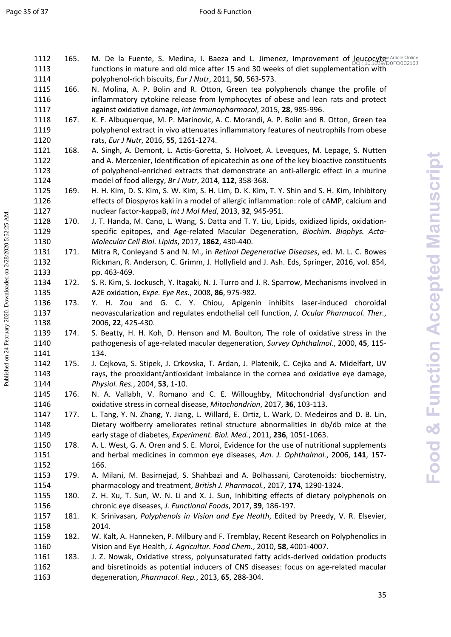#### Page 35 of 37 Food & Function

|                                                                    | 1112 | 165. | M. De la Fuente, S. Medina, I. Baeza and L. Jimenez, Improvement of Jeucocyte Article Online |                            |
|--------------------------------------------------------------------|------|------|----------------------------------------------------------------------------------------------|----------------------------|
|                                                                    | 1113 |      | functions in mature and old mice after 15 and 30 weeks of diet supplementation with          |                            |
|                                                                    | 1114 |      | polyphenol-rich biscuits, Eur J Nutr, 2011, 50, 563-573.                                     |                            |
|                                                                    | 1115 | 166. | N. Molina, A. P. Bolin and R. Otton, Green tea polyphenols change the profile of             |                            |
|                                                                    | 1116 |      | inflammatory cytokine release from lymphocytes of obese and lean rats and protect            |                            |
|                                                                    | 1117 |      | against oxidative damage, Int Immunopharmacol, 2015, 28, 985-996.                            |                            |
|                                                                    | 1118 | 167. | K. F. Albuquerque, M. P. Marinovic, A. C. Morandi, A. P. Bolin and R. Otton, Green tea       |                            |
|                                                                    | 1119 |      | polyphenol extract in vivo attenuates inflammatory features of neutrophils from obese        |                            |
|                                                                    | 1120 |      | rats, Eur J Nutr, 2016, 55, 1261-1274.                                                       |                            |
|                                                                    | 1121 | 168. | A. Singh, A. Demont, L. Actis-Goretta, S. Holvoet, A. Leveques, M. Lepage, S. Nutten         |                            |
|                                                                    | 1122 |      | and A. Mercenier, Identification of epicatechin as one of the key bioactive constituents     |                            |
|                                                                    | 1123 |      | of polyphenol-enriched extracts that demonstrate an anti-allergic effect in a murine         |                            |
|                                                                    | 1124 |      | model of food allergy, Br J Nutr, 2014, 112, 358-368.                                        |                            |
|                                                                    | 1125 | 169. | H. H. Kim, D. S. Kim, S. W. Kim, S. H. Lim, D. K. Kim, T. Y. Shin and S. H. Kim, Inhibitory  |                            |
|                                                                    | 1126 |      | effects of Diospyros kaki in a model of allergic inflammation: role of cAMP, calcium and     |                            |
|                                                                    | 1127 |      | nuclear factor-kappaB, Int J Mol Med, 2013, 32, 945-951.                                     |                            |
|                                                                    | 1128 | 170. | J. T. Handa, M. Cano, L. Wang, S. Datta and T. Y. Liu, Lipids, oxidized lipids, oxidation-   |                            |
|                                                                    | 1129 |      | specific epitopes, and Age-related Macular Degeneration, Biochim. Biophys. Acta-             |                            |
|                                                                    | 1130 |      | Molecular Cell Biol. Lipids, 2017, 1862, 430-440.                                            |                            |
| Published on 24 February 2020. Downloaded on 2/28/2020 5:52:25 AM. | 1131 | 171. | Mitra R, Conleyand S and N. M., in Retinal Degenerative Diseases, ed. M. L. C. Bowes         | nction Accepted Manuscript |
|                                                                    | 1132 |      | Rickman, R. Anderson, C. Grimm, J. Hollyfield and J. Ash. Eds, Springer, 2016, vol. 854,     |                            |
|                                                                    | 1133 |      | pp. 463-469.                                                                                 |                            |
|                                                                    | 1134 | 172. | S. R. Kim, S. Jockusch, Y. Itagaki, N. J. Turro and J. R. Sparrow, Mechanisms involved in    |                            |
|                                                                    | 1135 |      | A2E oxidation, Expe. Eye Res., 2008, 86, 975-982.                                            |                            |
|                                                                    | 1136 | 173. | Y. H. Zou and G. C. Y. Chiou, Apigenin inhibits laser-induced choroidal                      |                            |
|                                                                    | 1137 |      | neovascularization and regulates endothelial cell function, J. Ocular Pharmacol. Ther.,      |                            |
|                                                                    | 1138 |      | 2006, 22, 425-430.                                                                           |                            |
|                                                                    | 1139 | 174. | S. Beatty, H. H. Koh, D. Henson and M. Boulton, The role of oxidative stress in the          |                            |
|                                                                    | 1140 |      | pathogenesis of age-related macular degeneration, Survey Ophthalmol., 2000, 45, 115-         |                            |
|                                                                    | 1141 |      | 134.                                                                                         |                            |
|                                                                    | 1142 | 175. | J. Cejkova, S. Stipek, J. Crkovska, T. Ardan, J. Platenik, C. Cejka and A. Midelfart, UV     |                            |
|                                                                    | 1143 |      | rays, the prooxidant/antioxidant imbalance in the cornea and oxidative eye damage,           |                            |
|                                                                    | 1144 |      | Physiol. Res., 2004, 53, 1-10.                                                               |                            |
|                                                                    | 1145 | 176. | N. A. Vallabh, V. Romano and C. E. Willoughby, Mitochondrial dysfunction and                 |                            |
|                                                                    | 1146 |      | oxidative stress in corneal disease, Mitochondrion, 2017, 36, 103-113.                       | $\overline{\phantom{0}}$   |
|                                                                    | 1147 | 177. | L. Tang, Y. N. Zhang, Y. Jiang, L. Willard, E. Ortiz, L. Wark, D. Medeiros and D. B. Lin,    | ц.                         |
|                                                                    | 1148 |      | Dietary wolfberry ameliorates retinal structure abnormalities in db/db mice at the           | <b>85</b>                  |
|                                                                    | 1149 |      | early stage of diabetes, Experiment. Biol. Med., 2011, 236, 1051-1063.                       |                            |
|                                                                    | 1150 | 178. | A. L. West, G. A. Oren and S. E. Moroi, Evidence for the use of nutritional supplements      | Food                       |
|                                                                    | 1151 |      | and herbal medicines in common eye diseases, Am. J. Ophthalmol., 2006, 141, 157-             |                            |
|                                                                    | 1152 |      | 166.                                                                                         |                            |
|                                                                    | 1153 | 179. | A. Milani, M. Basirnejad, S. Shahbazi and A. Bolhassani, Carotenoids: biochemistry,          |                            |
|                                                                    | 1154 |      | pharmacology and treatment, British J. Pharmacol., 2017, 174, 1290-1324.                     |                            |
|                                                                    | 1155 | 180. | Z. H. Xu, T. Sun, W. N. Li and X. J. Sun, Inhibiting effects of dietary polyphenols on       |                            |
|                                                                    | 1156 |      | chronic eye diseases, J. Functional Foods, 2017, 39, 186-197.                                |                            |
|                                                                    | 1157 | 181. | K. Srinivasan, Polyphenols in Vision and Eye Health, Edited by Preedy, V. R. Elsevier,       |                            |
|                                                                    | 1158 |      | 2014.                                                                                        |                            |
|                                                                    | 1159 | 182. | W. Kalt, A. Hanneken, P. Milbury and F. Tremblay, Recent Research on Polyphenolics in        |                            |
|                                                                    | 1160 |      | Vision and Eye Health, J. Agricultur. Food Chem., 2010, 58, 4001-4007.                       |                            |
|                                                                    | 1161 | 183. | J. Z. Nowak, Oxidative stress, polyunsaturated fatty acids-derived oxidation products        |                            |
|                                                                    | 1162 |      | and bisretinoids as potential inducers of CNS diseases: focus on age-related macular         |                            |
|                                                                    | 1163 |      | degeneration, Pharmacol. Rep., 2013, 65, 288-304.                                            |                            |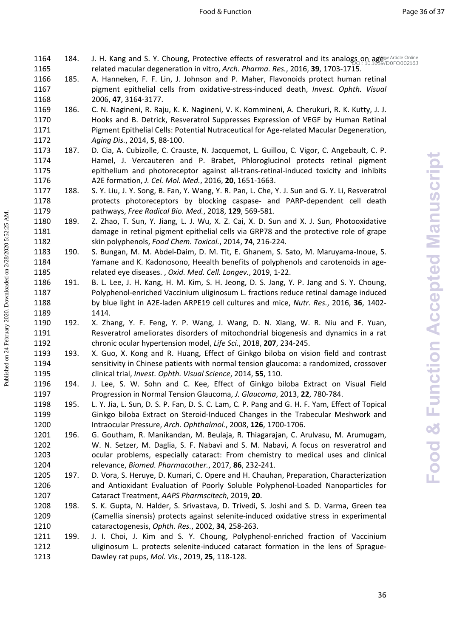- 1164 184. J. H. Kang and S. Y. Choung, Protective effects of resveratrol and its analogs on agent atticle Online 1165 related macular degeneration in vitro, *Arch. Pharma. Res.*, 2016, **39**, 1703-1715.
- 1166 185. A. Hanneken, F. F. Lin, J. Johnson and P. Maher, Flavonoids protect human retinal 1167 pigment epithelial cells from oxidative-stress-induced death, *Invest. Ophth. Visual*  1168 2006, **47**, 3164-3177.
- 1169 186. C. N. Nagineni, R. Raju, K. K. Nagineni, V. K. Kommineni, A. Cherukuri, R. K. Kutty, J. J. 1170 Hooks and B. Detrick, Resveratrol Suppresses Expression of VEGF by Human Retinal 1171 Pigment Epithelial Cells: Potential Nutraceutical for Age-related Macular Degeneration, 1172 *Aging Dis.*, 2014, **5**, 88-100.
- 1173 187. D. Cia, A. Cubizolle, C. Crauste, N. Jacquemot, L. Guillou, C. Vigor, C. Angebault, C. P. 1174 Hamel, J. Vercauteren and P. Brabet, Phloroglucinol protects retinal pigment 1175 epithelium and photoreceptor against all-trans-retinal-induced toxicity and inhibits 1176 A2E formation, *J. Cel. Mol. Med.*, 2016, **20**, 1651-1663.
- 1177 188. S. Y. Liu, J. Y. Song, B. Fan, Y. Wang, Y. R. Pan, L. Che, Y. J. Sun and G. Y. Li, Resveratrol 1178 protects photoreceptors by blocking caspase- and PARP-dependent cell death 1179 pathways, *Free Radical Bio. Med.*, 2018, **129**, 569-581.
- 1180 189. Z. Zhao, T. Sun, Y. Jiang, L. J. Wu, X. Z. Cai, X. D. Sun and X. J. Sun, Photooxidative 1181 damage in retinal pigment epithelial cells via GRP78 and the protective role of grape 1182 skin polyphenols, *Food Chem. Toxicol.*, 2014, **74**, 216-224.
- 1183 190. S. Bungan, M. M. Abdel-Daim, D. M. Tit, E. Ghanem, S. Sato, M. Maruyama-Inoue, S. 1184 Yamane and K. Kadonosono, Heealth benefits of polyphenols and carotenoids in age-1185 related eye diseases. , *Oxid. Med. Cell. Longev.*, 2019, 1-22.
- 1186 191. B. L. Lee, J. H. Kang, H. M. Kim, S. H. Jeong, D. S. Jang, Y. P. Jang and S. Y. Choung, 1187 Polyphenol-enriched Vaccinium uliginosum L. fractions reduce retinal damage induced 1188 by blue light in A2E-laden ARPE19 cell cultures and mice, *Nutr. Res.*, 2016, **36**, 1402- 1189 1414.
- 1190 192. X. Zhang, Y. F. Feng, Y. P. Wang, J. Wang, D. N. Xiang, W. R. Niu and F. Yuan, 1191 Resveratrol ameliorates disorders of mitochondrial biogenesis and dynamics in a rat 1192 chronic ocular hypertension model, *Life Sci.*, 2018, **207**, 234-245.
- 1193 193. X. Guo, X. Kong and R. Huang, Effect of Ginkgo biloba on vision field and contrast 1194 sensitivity in Chinese patients with normal tension glaucoma: a randomized, crossover 1195 clinical trial, *Invest. Ophth. Visual Science*, 2014, **55**, 110.
- 1196 194. J. Lee, S. W. Sohn and C. Kee, Effect of Ginkgo biloba Extract on Visual Field 1197 Progression in Normal Tension Glaucoma, *J. Glaucoma*, 2013, **22**, 780-784.
- 1198 195. L. Y. Jia, L. Sun, D. S. P. Fan, D. S. C. Lam, C. P. Pang and G. H. F. Yam, Effect of Topical 1199 Ginkgo biloba Extract on Steroid-Induced Changes in the Trabecular Meshwork and 1200 Intraocular Pressure, *Arch. Ophthalmol.*, 2008, **126**, 1700-1706.
- 1201 196. G. Goutham, R. Manikandan, M. Beulaja, R. Thiagarajan, C. Arulvasu, M. Arumugam, 1202 W. N. Setzer, M. Daglia, S. F. Nabavi and S. M. Nabavi, A focus on resveratrol and 1203 ocular problems, especially cataract: From chemistry to medical uses and clinical 1204 relevance, *Biomed. Pharmacother.*, 2017, **86**, 232-241. **Food Contents and Contents and Contents and Contents and Contents and Article Online 1990. A whenever a specific the specific National Published on 2020. The National Published on 2020. The National Published online Conte** 
	- 1205 197. D. Vora, S. Heruye, D. Kumari, C. Opere and H. Chauhan, Preparation, Characterization 1206 and Antioxidant Evaluation of Poorly Soluble Polyphenol-Loaded Nanoparticles for 1207 Cataract Treatment, *AAPS Pharmscitech*, 2019, **20**.
	- 1208 198. S. K. Gupta, N. Halder, S. Srivastava, D. Trivedi, S. Joshi and S. D. Varma, Green tea 1209 (Camellia sinensis) protects against selenite-induced oxidative stress in experimental 1210 cataractogenesis, *Ophth. Res.*, 2002, **34**, 258-263.
	- 1211 199. J. I. Choi, J. Kim and S. Y. Choung, Polyphenol-enriched fraction of Vaccinium 1212 uliginosum L. protects selenite-induced cataract formation in the lens of Sprague-1213 Dawley rat pups, *Mol. Vis.*, 2019, **25**, 118-128.